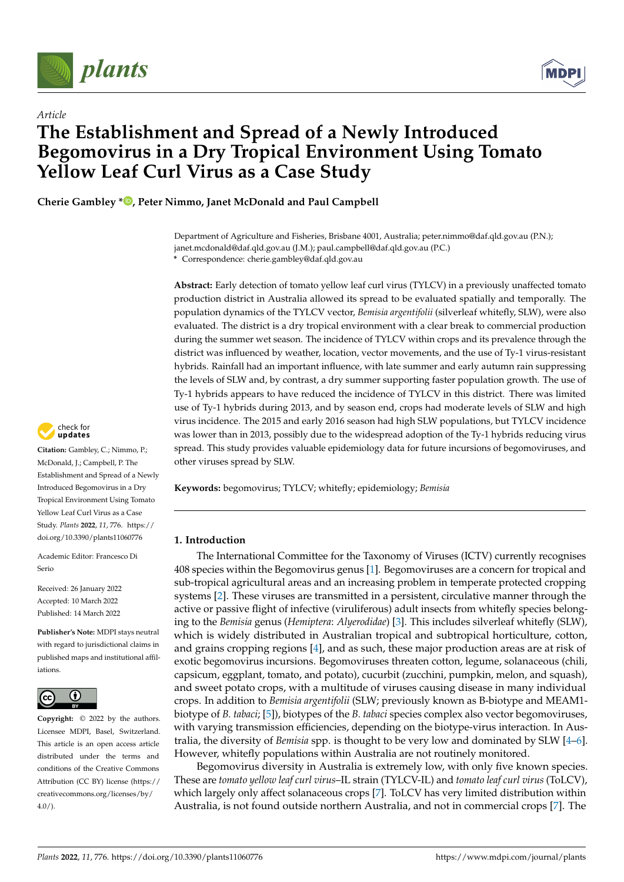



# *Article* **The Establishment and Spread of a Newly Introduced Begomovirus in a Dry Tropical Environment Using Tomato Yellow Leaf Curl Virus as a Case Study**

**Cherie Gambley \* [,](https://orcid.org/0000-0003-2283-8720) Peter Nimmo, Janet McDonald and Paul Campbell**

Department of Agriculture and Fisheries, Brisbane 4001, Australia; peter.nimmo@daf.qld.gov.au (P.N.); janet.mcdonald@daf.qld.gov.au (J.M.); paul.campbell@daf.qld.gov.au (P.C.) **\*** Correspondence: cherie.gambley@daf.qld.gov.au

**Abstract:** Early detection of tomato yellow leaf curl virus (TYLCV) in a previously unaffected tomato production district in Australia allowed its spread to be evaluated spatially and temporally. The population dynamics of the TYLCV vector, *Bemisia argentifolii* (silverleaf whitefly, SLW), were also evaluated. The district is a dry tropical environment with a clear break to commercial production during the summer wet season. The incidence of TYLCV within crops and its prevalence through the district was influenced by weather, location, vector movements, and the use of Ty-1 virus-resistant hybrids. Rainfall had an important influence, with late summer and early autumn rain suppressing the levels of SLW and, by contrast, a dry summer supporting faster population growth. The use of Ty-1 hybrids appears to have reduced the incidence of TYLCV in this district. There was limited use of Ty-1 hybrids during 2013, and by season end, crops had moderate levels of SLW and high virus incidence. The 2015 and early 2016 season had high SLW populations, but TYLCV incidence was lower than in 2013, possibly due to the widespread adoption of the Ty-1 hybrids reducing virus spread. This study provides valuable epidemiology data for future incursions of begomoviruses, and other viruses spread by SLW.

**Keywords:** begomovirus; TYLCV; whitefly; epidemiology; *Bemisia*

# **1. Introduction**

The International Committee for the Taxonomy of Viruses (ICTV) currently recognises 408 species within the Begomovirus genus [\[1\]](#page-11-0). Begomoviruses are a concern for tropical and sub-tropical agricultural areas and an increasing problem in temperate protected cropping systems [\[2\]](#page-11-1). These viruses are transmitted in a persistent, circulative manner through the active or passive flight of infective (viruliferous) adult insects from whitefly species belonging to the *Bemisia* genus (*Hemiptera*: *Alyerodidae*) [\[3\]](#page-11-2). This includes silverleaf whitefly (SLW), which is widely distributed in Australian tropical and subtropical horticulture, cotton, and grains cropping regions [\[4\]](#page-11-3), and as such, these major production areas are at risk of exotic begomovirus incursions. Begomoviruses threaten cotton, legume, solanaceous (chili, capsicum, eggplant, tomato, and potato), cucurbit (zucchini, pumpkin, melon, and squash), and sweet potato crops, with a multitude of viruses causing disease in many individual crops. In addition to *Bemisia argentifolii* (SLW; previously known as B-biotype and MEAM1 biotype of *B. tabaci*; [\[5\]](#page-11-4)), biotypes of the *B. tabaci* species complex also vector begomoviruses, with varying transmission efficiencies, depending on the biotype-virus interaction. In Australia, the diversity of *Bemisia* spp. is thought to be very low and dominated by SLW [\[4](#page-11-3)[–6\]](#page-11-5). However, whitefly populations within Australia are not routinely monitored.

Begomovirus diversity in Australia is extremely low, with only five known species. These are *tomato yellow leaf curl virus*–IL strain (TYLCV-IL) and *tomato leaf curl virus* (ToLCV), which largely only affect solanaceous crops [\[7\]](#page-11-6). ToLCV has very limited distribution within Australia, is not found outside northern Australia, and not in commercial crops [\[7\]](#page-11-6). The



**Citation:** Gambley, C.; Nimmo, P.; McDonald, J.; Campbell, P. The Establishment and Spread of a Newly Introduced Begomovirus in a Dry Tropical Environment Using Tomato Yellow Leaf Curl Virus as a Case Study. *Plants* **2022**, *11*, 776. [https://](https://doi.org/10.3390/plants11060776) [doi.org/10.3390/plants11060776](https://doi.org/10.3390/plants11060776)

Academic Editor: Francesco Di Serio

Received: 26 January 2022 Accepted: 10 March 2022 Published: 14 March 2022

**Publisher's Note:** MDPI stays neutral with regard to jurisdictional claims in published maps and institutional affiliations.



**Copyright:** © 2022 by the authors. Licensee MDPI, Basel, Switzerland. This article is an open access article distributed under the terms and conditions of the Creative Commons Attribution (CC BY) license [\(https://](https://creativecommons.org/licenses/by/4.0/) [creativecommons.org/licenses/by/](https://creativecommons.org/licenses/by/4.0/)  $4.0/$ ).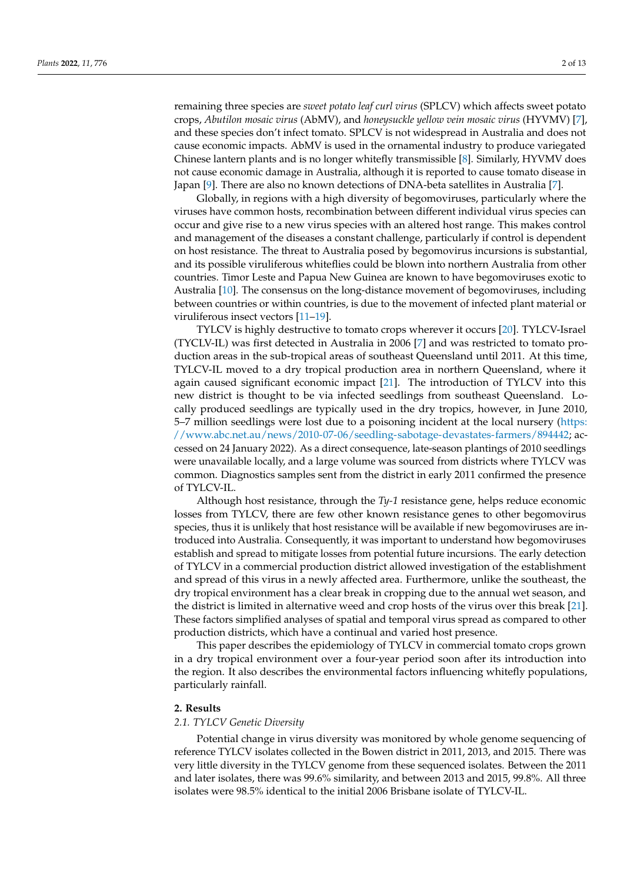remaining three species are *sweet potato leaf curl virus* (SPLCV) which affects sweet potato crops, *Abutilon mosaic virus* (AbMV), and *honeysuckle yellow vein mosaic virus* (HYVMV) [\[7\]](#page-11-6), and these species don't infect tomato. SPLCV is not widespread in Australia and does not cause economic impacts. AbMV is used in the ornamental industry to produce variegated Chinese lantern plants and is no longer whitefly transmissible [\[8\]](#page-11-7). Similarly, HYVMV does not cause economic damage in Australia, although it is reported to cause tomato disease in Japan [\[9\]](#page-11-8). There are also no known detections of DNA-beta satellites in Australia [\[7\]](#page-11-6).

Globally, in regions with a high diversity of begomoviruses, particularly where the viruses have common hosts, recombination between different individual virus species can occur and give rise to a new virus species with an altered host range. This makes control and management of the diseases a constant challenge, particularly if control is dependent on host resistance. The threat to Australia posed by begomovirus incursions is substantial, and its possible viruliferous whiteflies could be blown into northern Australia from other countries. Timor Leste and Papua New Guinea are known to have begomoviruses exotic to Australia [\[10\]](#page-11-9). The consensus on the long-distance movement of begomoviruses, including between countries or within countries, is due to the movement of infected plant material or viruliferous insect vectors [\[11–](#page-11-10)[19\]](#page-12-0).

TYLCV is highly destructive to tomato crops wherever it occurs [\[20\]](#page-12-1). TYLCV-Israel (TYCLV-IL) was first detected in Australia in 2006 [\[7\]](#page-11-6) and was restricted to tomato production areas in the sub-tropical areas of southeast Queensland until 2011. At this time, TYLCV-IL moved to a dry tropical production area in northern Queensland, where it again caused significant economic impact [\[21\]](#page-12-2). The introduction of TYLCV into this new district is thought to be via infected seedlings from southeast Queensland. Locally produced seedlings are typically used in the dry tropics, however, in June 2010, 5–7 million seedlings were lost due to a poisoning incident at the local nursery [\(https:](https://www.abc.net.au/news/2010-07-06/seedling-sabotage-devastates-farmers/894442) [//www.abc.net.au/news/2010-07-06/seedling-sabotage-devastates-farmers/894442;](https://www.abc.net.au/news/2010-07-06/seedling-sabotage-devastates-farmers/894442) accessed on 24 January 2022). As a direct consequence, late-season plantings of 2010 seedlings were unavailable locally, and a large volume was sourced from districts where TYLCV was common. Diagnostics samples sent from the district in early 2011 confirmed the presence of TYLCV-IL.

Although host resistance, through the *Ty-1* resistance gene, helps reduce economic losses from TYLCV, there are few other known resistance genes to other begomovirus species, thus it is unlikely that host resistance will be available if new begomoviruses are introduced into Australia. Consequently, it was important to understand how begomoviruses establish and spread to mitigate losses from potential future incursions. The early detection of TYLCV in a commercial production district allowed investigation of the establishment and spread of this virus in a newly affected area. Furthermore, unlike the southeast, the dry tropical environment has a clear break in cropping due to the annual wet season, and the district is limited in alternative weed and crop hosts of the virus over this break [\[21\]](#page-12-2). These factors simplified analyses of spatial and temporal virus spread as compared to other production districts, which have a continual and varied host presence.

This paper describes the epidemiology of TYLCV in commercial tomato crops grown in a dry tropical environment over a four-year period soon after its introduction into the region. It also describes the environmental factors influencing whitefly populations, particularly rainfall.

#### **2. Results**

#### *2.1. TYLCV Genetic Diversity*

Potential change in virus diversity was monitored by whole genome sequencing of reference TYLCV isolates collected in the Bowen district in 2011, 2013, and 2015. There was very little diversity in the TYLCV genome from these sequenced isolates. Between the 2011 and later isolates, there was 99.6% similarity, and between 2013 and 2015, 99.8%. All three isolates were 98.5% identical to the initial 2006 Brisbane isolate of TYLCV-IL.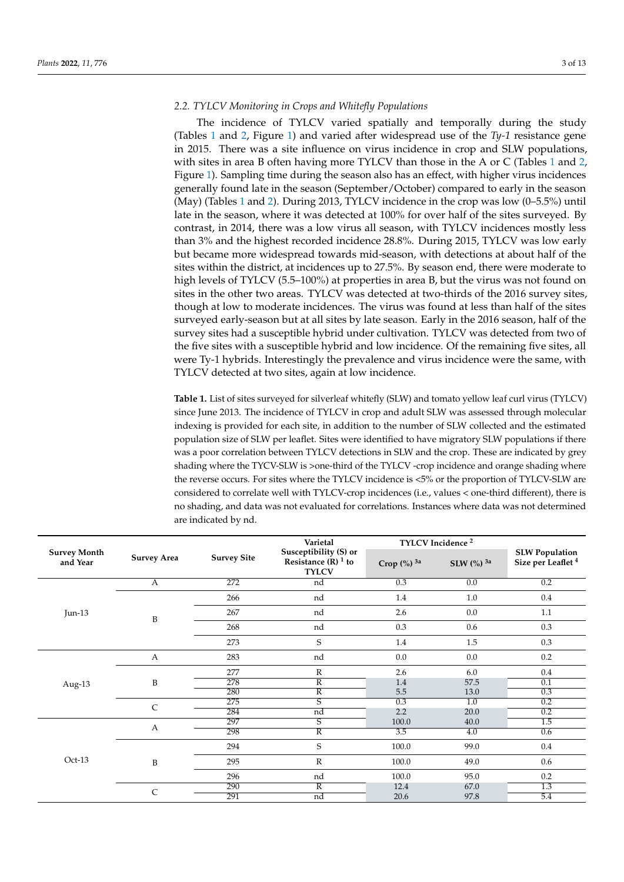# *2.2. TYLCV Monitoring in Crops and Whitefly Populations*

The incidence of TYLCV varied spatially and temporally during the study (Tables [1](#page-2-0) and [2,](#page-5-0) Figure [1\)](#page-6-0) and varied after widespread use of the *Ty-1* resistance gene in 2015. There was a site influence on virus incidence in crop and SLW populations, with sites in area B often having more TYLCV than those in the A or C (Tables [1](#page-2-0) and [2,](#page-5-0) Figure [1\)](#page-6-0). Sampling time during the season also has an effect, with higher virus incidences generally found late in the season (September/October) compared to early in the season (May) (Tables [1](#page-2-0) and [2\)](#page-5-0). During 2013, TYLCV incidence in the crop was low (0–5.5%) until late in the season, where it was detected at 100% for over half of the sites surveyed. By contrast, in 2014, there was a low virus all season, with TYLCV incidences mostly less than 3% and the highest recorded incidence 28.8%. During 2015, TYLCV was low early but became more widespread towards mid-season, with detections at about half of the sites within the district, at incidences up to 27.5%. By season end, there were moderate to high levels of TYLCV (5.5–100%) at properties in area B, but the virus was not found on sites in the other two areas. TYLCV was detected at two-thirds of the 2016 survey sites, though at low to moderate incidences. The virus was found at less than half of the sites surveyed early-season but at all sites by late season. Early in the 2016 season, half of the survey sites had a susceptible hybrid under cultivation. TYLCV was detected from two of the five sites with a susceptible hybrid and low incidence. Of the remaining five sites, all were Ty-1 hybrids. Interestingly the prevalence and virus incidence were the same, with TYLCV detected at two sites, again at low incidence.

<span id="page-2-0"></span>**Table 1.** List of sites surveyed for silverleaf whitefly (SLW) and tomato yellow leaf curl virus (TYLCV) since June 2013. The incidence of TYLCV in crop and adult SLW was assessed through molecular indexing is provided for each site, in addition to the number of SLW collected and the estimated population size of SLW per leaflet. Sites were identified to have migratory SLW populations if there was a poor correlation between TYLCV detections in SLW and the crop. These are indicated by grey shading where the TYCV-SLW is >one-third of the TYLCV -crop incidence and orange shading where the reverse occurs. For sites where the TYLCV incidence is <5% or the proportion of TYLCV-SLW are considered to correlate well with TYLCV-crop incidences (i.e., values < one-third different), there is no shading, and data was not evaluated for correlations. Instances where data was not determined are indicated by nd.

|                                 |                    |                    | Varietal                                                                  | TYLCV Incidence <sup>2</sup> |                          |                                                        |
|---------------------------------|--------------------|--------------------|---------------------------------------------------------------------------|------------------------------|--------------------------|--------------------------------------------------------|
| <b>Survey Month</b><br>and Year | <b>Survey Area</b> | <b>Survey Site</b> | Susceptibility (S) or<br>Resistance $(R)$ <sup>1</sup> to<br><b>TYLCV</b> | Crop (%) 3a                  | SLW $(\%)$ <sup>3a</sup> | <b>SLW Population</b><br>Size per Leaflet <sup>4</sup> |
|                                 | A                  | 272                | nd                                                                        | 0.3                          | 0.0                      | 0.2                                                    |
|                                 |                    | 266                | nd                                                                        | 1.4                          | 1.0                      | $0.4\,$                                                |
| Jun-13                          | B                  | 267                | nd                                                                        | 2.6                          | 0.0                      | 1.1                                                    |
|                                 |                    | 268                | nd                                                                        | 0.3                          | 0.6                      | 0.3                                                    |
|                                 |                    | 273                | $\mathbf S$                                                               | 1.4                          | 1.5                      | $0.3\,$                                                |
|                                 | $\boldsymbol{A}$   | 283                | nd                                                                        | $0.0\,$                      | 0.0                      | 0.2                                                    |
|                                 |                    | 277                | $\mathbb{R}$                                                              | 2.6                          | 6.0                      | $0.4\,$                                                |
| Aug-13                          | B                  | 278                | $\overline{R}$                                                            | 1.4                          | 57.5                     | 0.1                                                    |
|                                 |                    | 280                | $\overline{\mathbb{R}}$                                                   | 5.5                          | 13.0                     | 0.3                                                    |
|                                 | $\mathsf{C}$       | 275                | $\overline{\mathsf{s}}$                                                   | 0.3                          | $\overline{1.0}$         | 0.2                                                    |
|                                 |                    | 284                | nd                                                                        | 2.2                          | 20.0                     | 0.2                                                    |
|                                 | A                  | 297                | $\overline{\mathsf{s}}$                                                   | 100.0                        | 40.0                     | 1.5                                                    |
|                                 |                    | 298                | $\overline{\mathbb{R}}$                                                   | 3.5                          | 4.0                      | 0.6                                                    |
|                                 |                    | 294                | $\mathbf S$                                                               | 100.0                        | 99.0                     | $0.4\,$                                                |
| $Oct-13$                        | B                  | 295                | $\mathbb{R}$                                                              | 100.0                        | 49.0                     | 0.6                                                    |
|                                 |                    | 296                | nd                                                                        | 100.0                        | 95.0                     | 0.2                                                    |
|                                 |                    | 290                | $\overline{\mathbb{R}}$                                                   | 12.4                         | 67.0                     | $\overline{1.3}$                                       |
|                                 | $\mathsf{C}$       | 291                | nd                                                                        | 20.6                         | 97.8                     | 5.4                                                    |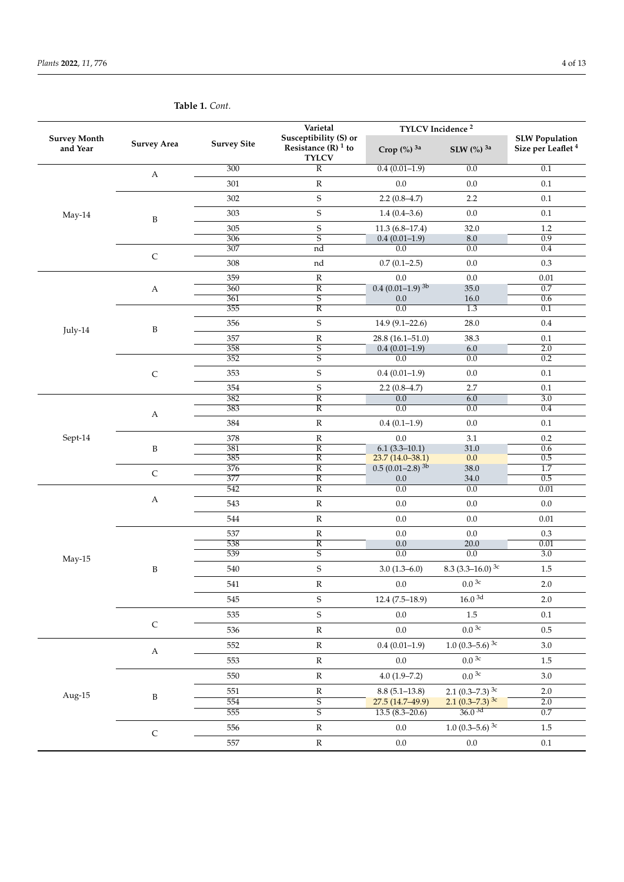| <b>Survey Month</b><br>and Year | <b>Survey Area</b>    | <b>Survey Site</b> | Susceptibility (S) or<br>Resistance $(R)$ <sup>1</sup> to<br><b>TYLCV</b> | TYLCV Incidence <sup>2</sup><br>Crop (%) 3a<br>SLW (%) 3a<br>$0.4(0.01-1.9)$<br>0.0<br>0.0<br>$0.0\,$<br>$2.2(0.8-4.7)$<br>2.2<br>$0.0\,$<br>$1.4(0.4-3.6)$<br>$11.3(6.8-17.4)$<br>32.0<br>$0.4(0.01-1.9)$<br>8.0<br>0.0<br>0.0<br>$0.7(0.1-2.5)$<br>0.0<br>0.0<br>$0.0\,$<br>$0.4(0.01-1.9)^{3b}$<br>35.0<br>16.0<br>0.0<br>$\overline{0.0}$<br>$\overline{1.3}$<br>$14.9(9.1 - 22.6)$<br>28.0<br>38.3<br>$28.8(16.1 - 51.0)$<br>$0.4(0.01-1.9)$<br>6.0<br>$\overline{0.0}$<br>0.0<br>0.0<br>$0.4(0.01-1.9)$<br>$2.2(0.8-4.7)$<br>2.7<br>0.0<br>6.0<br>$\overline{0.0}$<br>$\overline{0.0}$<br>$0.4(0.1-1.9)$<br>$0.0\,$<br>$0.0\,$<br>3.1<br>$6.1(3.3-10.1)$<br>31.0<br>$23.7(14.0-38.1)$<br>$0.0\,$<br>$0.5(0.01-2.8)^{3b}$<br>38.0<br>$0.0\,$<br>34.0<br>$\overline{0.0}$<br>0.0<br>0.0<br>0.0<br>$0.0\,$<br>$0.0\,$<br>$0.0\,$<br>$0.0\,$<br>0.0<br>20.0<br>$\overline{0.0}$<br>$\overline{0.0}$<br>$3.0(1.3-6.0)$<br>8.3 (3.3–16.0) <sup>3c</sup><br>$0.0^{3c}$<br>$0.0\,$<br>$16.0\;\rm{^{3d}}$<br>$12.4(7.5-18.9)$<br>1.5<br>0.0<br>0.0 <sup>3c</sup><br>$0.0\,$<br>1.0 $(0.3-5.6)$ <sup>3c</sup><br>$0.4(0.01-1.9)$<br>$0.03$ c<br>$0.0\,$<br>$0.03$ c<br>$4.0(1.9 - 7.2)$<br>2.1 (0.3-7.3) $3c$<br>$8.8(5.1-13.8)$<br>$2.1 (0.3 - 7.3)^{3c}$<br>27.5 (14.7-49.9)<br>36.03d<br>$13.5(8.3 - 20.6)$<br>1.0 $(0.3-5.6)$ <sup>3c</sup><br>0.0 | Size per Leaflet <sup>4</sup>                                                                                                                                                                                                                                                                                                                                                 |         |
|---------------------------------|-----------------------|--------------------|---------------------------------------------------------------------------|----------------------------------------------------------------------------------------------------------------------------------------------------------------------------------------------------------------------------------------------------------------------------------------------------------------------------------------------------------------------------------------------------------------------------------------------------------------------------------------------------------------------------------------------------------------------------------------------------------------------------------------------------------------------------------------------------------------------------------------------------------------------------------------------------------------------------------------------------------------------------------------------------------------------------------------------------------------------------------------------------------------------------------------------------------------------------------------------------------------------------------------------------------------------------------------------------------------------------------------------------------------------------------------------------------------------------------------------------|-------------------------------------------------------------------------------------------------------------------------------------------------------------------------------------------------------------------------------------------------------------------------------------------------------------------------------------------------------------------------------|---------|
|                                 | $\boldsymbol{A}$      | 300                | $\overline{R}$                                                            |                                                                                                                                                                                                                                                                                                                                                                                                                                                                                                                                                                                                                                                                                                                                                                                                                                                                                                                                                                                                                                                                                                                                                                                                                                                                                                                                                    |                                                                                                                                                                                                                                                                                                                                                                               | 0.1     |
|                                 |                       | 301                | ${\bf R}$                                                                 | $0.0\,$<br>$0.0\,$                                                                                                                                                                                                                                                                                                                                                                                                                                                                                                                                                                                                                                                                                                                                                                                                                                                                                                                                                                                                                                                                                                                                                                                                                                                                                                                                 | $0.1\,$                                                                                                                                                                                                                                                                                                                                                                       |         |
|                                 |                       | 302                | $\boldsymbol{\mathsf{S}}$                                                 |                                                                                                                                                                                                                                                                                                                                                                                                                                                                                                                                                                                                                                                                                                                                                                                                                                                                                                                                                                                                                                                                                                                                                                                                                                                                                                                                                    |                                                                                                                                                                                                                                                                                                                                                                               | $0.1\,$ |
| May-14                          | $\, {\bf B}$          | 303                | $\mathsf S$                                                               |                                                                                                                                                                                                                                                                                                                                                                                                                                                                                                                                                                                                                                                                                                                                                                                                                                                                                                                                                                                                                                                                                                                                                                                                                                                                                                                                                    |                                                                                                                                                                                                                                                                                                                                                                               | $0.1\,$ |
|                                 |                       | 305                |                                                                           |                                                                                                                                                                                                                                                                                                                                                                                                                                                                                                                                                                                                                                                                                                                                                                                                                                                                                                                                                                                                                                                                                                                                                                                                                                                                                                                                                    |                                                                                                                                                                                                                                                                                                                                                                               | 1.2     |
|                                 |                       | 306                |                                                                           | Varietal<br>$\mathbf S$<br>$\overline{S}$<br>nd<br>nd<br>${\bf R}$<br>$\overline{R}$<br>$\overline{\mathsf{s}}$<br>$\overline{R}$<br>$\mathbf S$<br>${\bf R}$<br>$\overline{S}$<br>$\overline{\mathsf{s}}$<br>$\mathbf S$<br>$\mathbf S$<br>$\overline{\text{R}}$<br>$\overline{R}$<br>${\bf R}$<br>${\bf R}$<br>$\overline{\mathbb{R}}$<br>$\overline{\text{R}}$<br>$\overline{R}$<br>$\overline{R}$<br>$\overline{R}$<br>${\bf R}$<br>${\bf R}$<br>${\bf R}$<br>$\overline{R}$<br>$\overline{\mathsf{s}}$<br>$\mathbf S$<br>${\bf R}$<br>$\mathbf S$<br>$\mathsf S$<br>${\bf R}$                                                                                                                                                                                                                                                                                                                                                                                                                                                                                                                                                                                                                                                                                                                                                                 | $\overline{0.9}$                                                                                                                                                                                                                                                                                                                                                              |         |
|                                 |                       | 307                |                                                                           |                                                                                                                                                                                                                                                                                                                                                                                                                                                                                                                                                                                                                                                                                                                                                                                                                                                                                                                                                                                                                                                                                                                                                                                                                                                                                                                                                    |                                                                                                                                                                                                                                                                                                                                                                               | 0.4     |
|                                 | $\mathsf C$           | 308                |                                                                           |                                                                                                                                                                                                                                                                                                                                                                                                                                                                                                                                                                                                                                                                                                                                                                                                                                                                                                                                                                                                                                                                                                                                                                                                                                                                                                                                                    | <b>SLW Population</b><br>0.3<br>0.01<br>0.7<br>0.6<br>0.1<br>$0.4\,$<br>$0.1\,$<br>2.0<br>0.2<br>0.1<br>0.1<br>$\overline{3.0}$<br>0.4<br>$0.1\,$<br>$0.2\,$<br>0.6<br>0.5<br>$\overline{1.7}$<br>0.5<br>0.01<br>$0.0\,$<br>$0.01\,$<br>0.3<br>0.01<br>3.0<br>1.5<br>$2.0\,$<br>$2.0\,$<br>0.1<br>$0.5\,$<br>$3.0\,$<br>1.5<br>$3.0\,$<br>2.0<br>2.0<br>0.7<br>1.5<br>$0.1\,$ |         |
|                                 |                       | 359                |                                                                           |                                                                                                                                                                                                                                                                                                                                                                                                                                                                                                                                                                                                                                                                                                                                                                                                                                                                                                                                                                                                                                                                                                                                                                                                                                                                                                                                                    |                                                                                                                                                                                                                                                                                                                                                                               |         |
|                                 | $\boldsymbol{A}$      | 360                |                                                                           |                                                                                                                                                                                                                                                                                                                                                                                                                                                                                                                                                                                                                                                                                                                                                                                                                                                                                                                                                                                                                                                                                                                                                                                                                                                                                                                                                    |                                                                                                                                                                                                                                                                                                                                                                               |         |
|                                 |                       | 361                |                                                                           |                                                                                                                                                                                                                                                                                                                                                                                                                                                                                                                                                                                                                                                                                                                                                                                                                                                                                                                                                                                                                                                                                                                                                                                                                                                                                                                                                    |                                                                                                                                                                                                                                                                                                                                                                               |         |
|                                 |                       | 355                |                                                                           |                                                                                                                                                                                                                                                                                                                                                                                                                                                                                                                                                                                                                                                                                                                                                                                                                                                                                                                                                                                                                                                                                                                                                                                                                                                                                                                                                    |                                                                                                                                                                                                                                                                                                                                                                               |         |
|                                 |                       | 356                |                                                                           |                                                                                                                                                                                                                                                                                                                                                                                                                                                                                                                                                                                                                                                                                                                                                                                                                                                                                                                                                                                                                                                                                                                                                                                                                                                                                                                                                    |                                                                                                                                                                                                                                                                                                                                                                               |         |
| July-14                         | B                     |                    |                                                                           |                                                                                                                                                                                                                                                                                                                                                                                                                                                                                                                                                                                                                                                                                                                                                                                                                                                                                                                                                                                                                                                                                                                                                                                                                                                                                                                                                    |                                                                                                                                                                                                                                                                                                                                                                               |         |
|                                 |                       | 357                |                                                                           |                                                                                                                                                                                                                                                                                                                                                                                                                                                                                                                                                                                                                                                                                                                                                                                                                                                                                                                                                                                                                                                                                                                                                                                                                                                                                                                                                    |                                                                                                                                                                                                                                                                                                                                                                               |         |
|                                 |                       | 358                |                                                                           |                                                                                                                                                                                                                                                                                                                                                                                                                                                                                                                                                                                                                                                                                                                                                                                                                                                                                                                                                                                                                                                                                                                                                                                                                                                                                                                                                    |                                                                                                                                                                                                                                                                                                                                                                               |         |
|                                 |                       | 352                |                                                                           |                                                                                                                                                                                                                                                                                                                                                                                                                                                                                                                                                                                                                                                                                                                                                                                                                                                                                                                                                                                                                                                                                                                                                                                                                                                                                                                                                    |                                                                                                                                                                                                                                                                                                                                                                               |         |
|                                 | $\mathsf C$           | 353                |                                                                           |                                                                                                                                                                                                                                                                                                                                                                                                                                                                                                                                                                                                                                                                                                                                                                                                                                                                                                                                                                                                                                                                                                                                                                                                                                                                                                                                                    |                                                                                                                                                                                                                                                                                                                                                                               |         |
|                                 |                       | 354                |                                                                           |                                                                                                                                                                                                                                                                                                                                                                                                                                                                                                                                                                                                                                                                                                                                                                                                                                                                                                                                                                                                                                                                                                                                                                                                                                                                                                                                                    |                                                                                                                                                                                                                                                                                                                                                                               |         |
|                                 |                       | 382                |                                                                           |                                                                                                                                                                                                                                                                                                                                                                                                                                                                                                                                                                                                                                                                                                                                                                                                                                                                                                                                                                                                                                                                                                                                                                                                                                                                                                                                                    |                                                                                                                                                                                                                                                                                                                                                                               |         |
|                                 |                       | 383                |                                                                           |                                                                                                                                                                                                                                                                                                                                                                                                                                                                                                                                                                                                                                                                                                                                                                                                                                                                                                                                                                                                                                                                                                                                                                                                                                                                                                                                                    |                                                                                                                                                                                                                                                                                                                                                                               |         |
|                                 | $\boldsymbol{A}$      | 384                |                                                                           |                                                                                                                                                                                                                                                                                                                                                                                                                                                                                                                                                                                                                                                                                                                                                                                                                                                                                                                                                                                                                                                                                                                                                                                                                                                                                                                                                    |                                                                                                                                                                                                                                                                                                                                                                               |         |
|                                 |                       | 378                |                                                                           |                                                                                                                                                                                                                                                                                                                                                                                                                                                                                                                                                                                                                                                                                                                                                                                                                                                                                                                                                                                                                                                                                                                                                                                                                                                                                                                                                    |                                                                                                                                                                                                                                                                                                                                                                               |         |
|                                 | B                     | 381                |                                                                           |                                                                                                                                                                                                                                                                                                                                                                                                                                                                                                                                                                                                                                                                                                                                                                                                                                                                                                                                                                                                                                                                                                                                                                                                                                                                                                                                                    |                                                                                                                                                                                                                                                                                                                                                                               |         |
|                                 |                       | 385                |                                                                           |                                                                                                                                                                                                                                                                                                                                                                                                                                                                                                                                                                                                                                                                                                                                                                                                                                                                                                                                                                                                                                                                                                                                                                                                                                                                                                                                                    |                                                                                                                                                                                                                                                                                                                                                                               |         |
|                                 |                       | 376                |                                                                           |                                                                                                                                                                                                                                                                                                                                                                                                                                                                                                                                                                                                                                                                                                                                                                                                                                                                                                                                                                                                                                                                                                                                                                                                                                                                                                                                                    |                                                                                                                                                                                                                                                                                                                                                                               |         |
|                                 | $\mathsf C$           | 377                |                                                                           |                                                                                                                                                                                                                                                                                                                                                                                                                                                                                                                                                                                                                                                                                                                                                                                                                                                                                                                                                                                                                                                                                                                                                                                                                                                                                                                                                    |                                                                                                                                                                                                                                                                                                                                                                               |         |
|                                 |                       | 542                |                                                                           |                                                                                                                                                                                                                                                                                                                                                                                                                                                                                                                                                                                                                                                                                                                                                                                                                                                                                                                                                                                                                                                                                                                                                                                                                                                                                                                                                    |                                                                                                                                                                                                                                                                                                                                                                               |         |
|                                 | $\boldsymbol{A}$      | 543                |                                                                           |                                                                                                                                                                                                                                                                                                                                                                                                                                                                                                                                                                                                                                                                                                                                                                                                                                                                                                                                                                                                                                                                                                                                                                                                                                                                                                                                                    |                                                                                                                                                                                                                                                                                                                                                                               |         |
|                                 |                       | 544                |                                                                           |                                                                                                                                                                                                                                                                                                                                                                                                                                                                                                                                                                                                                                                                                                                                                                                                                                                                                                                                                                                                                                                                                                                                                                                                                                                                                                                                                    |                                                                                                                                                                                                                                                                                                                                                                               |         |
|                                 |                       | 537                |                                                                           |                                                                                                                                                                                                                                                                                                                                                                                                                                                                                                                                                                                                                                                                                                                                                                                                                                                                                                                                                                                                                                                                                                                                                                                                                                                                                                                                                    |                                                                                                                                                                                                                                                                                                                                                                               |         |
|                                 |                       | 538                |                                                                           |                                                                                                                                                                                                                                                                                                                                                                                                                                                                                                                                                                                                                                                                                                                                                                                                                                                                                                                                                                                                                                                                                                                                                                                                                                                                                                                                                    |                                                                                                                                                                                                                                                                                                                                                                               |         |
|                                 |                       | 539                |                                                                           |                                                                                                                                                                                                                                                                                                                                                                                                                                                                                                                                                                                                                                                                                                                                                                                                                                                                                                                                                                                                                                                                                                                                                                                                                                                                                                                                                    |                                                                                                                                                                                                                                                                                                                                                                               |         |
|                                 | B                     | 540                |                                                                           |                                                                                                                                                                                                                                                                                                                                                                                                                                                                                                                                                                                                                                                                                                                                                                                                                                                                                                                                                                                                                                                                                                                                                                                                                                                                                                                                                    |                                                                                                                                                                                                                                                                                                                                                                               |         |
|                                 |                       | 541                |                                                                           | ${\bf R}$<br>${\mathbb R}$<br>${\bf R}$<br>${\mathbb R}$<br>$\overline{\mathsf{s}}$<br>$\overline{\mathsf{s}}$<br>${\bf R}$<br>${\mathbb R}$                                                                                                                                                                                                                                                                                                                                                                                                                                                                                                                                                                                                                                                                                                                                                                                                                                                                                                                                                                                                                                                                                                                                                                                                       |                                                                                                                                                                                                                                                                                                                                                                               |         |
| Sept-14<br>May-15               |                       | 545                |                                                                           |                                                                                                                                                                                                                                                                                                                                                                                                                                                                                                                                                                                                                                                                                                                                                                                                                                                                                                                                                                                                                                                                                                                                                                                                                                                                                                                                                    |                                                                                                                                                                                                                                                                                                                                                                               |         |
|                                 |                       | 535                |                                                                           |                                                                                                                                                                                                                                                                                                                                                                                                                                                                                                                                                                                                                                                                                                                                                                                                                                                                                                                                                                                                                                                                                                                                                                                                                                                                                                                                                    |                                                                                                                                                                                                                                                                                                                                                                               |         |
|                                 | $\mathsf C$           | 536                |                                                                           |                                                                                                                                                                                                                                                                                                                                                                                                                                                                                                                                                                                                                                                                                                                                                                                                                                                                                                                                                                                                                                                                                                                                                                                                                                                                                                                                                    |                                                                                                                                                                                                                                                                                                                                                                               |         |
|                                 |                       | 552                |                                                                           |                                                                                                                                                                                                                                                                                                                                                                                                                                                                                                                                                                                                                                                                                                                                                                                                                                                                                                                                                                                                                                                                                                                                                                                                                                                                                                                                                    |                                                                                                                                                                                                                                                                                                                                                                               |         |
|                                 | $\boldsymbol{\rm{A}}$ | 553                |                                                                           |                                                                                                                                                                                                                                                                                                                                                                                                                                                                                                                                                                                                                                                                                                                                                                                                                                                                                                                                                                                                                                                                                                                                                                                                                                                                                                                                                    |                                                                                                                                                                                                                                                                                                                                                                               |         |
|                                 |                       | 550                |                                                                           |                                                                                                                                                                                                                                                                                                                                                                                                                                                                                                                                                                                                                                                                                                                                                                                                                                                                                                                                                                                                                                                                                                                                                                                                                                                                                                                                                    |                                                                                                                                                                                                                                                                                                                                                                               |         |
|                                 |                       | 551                |                                                                           |                                                                                                                                                                                                                                                                                                                                                                                                                                                                                                                                                                                                                                                                                                                                                                                                                                                                                                                                                                                                                                                                                                                                                                                                                                                                                                                                                    |                                                                                                                                                                                                                                                                                                                                                                               |         |
| Aug-15                          | B                     | 554                |                                                                           |                                                                                                                                                                                                                                                                                                                                                                                                                                                                                                                                                                                                                                                                                                                                                                                                                                                                                                                                                                                                                                                                                                                                                                                                                                                                                                                                                    |                                                                                                                                                                                                                                                                                                                                                                               |         |
|                                 |                       | 555                |                                                                           |                                                                                                                                                                                                                                                                                                                                                                                                                                                                                                                                                                                                                                                                                                                                                                                                                                                                                                                                                                                                                                                                                                                                                                                                                                                                                                                                                    |                                                                                                                                                                                                                                                                                                                                                                               |         |
|                                 |                       | 556                |                                                                           |                                                                                                                                                                                                                                                                                                                                                                                                                                                                                                                                                                                                                                                                                                                                                                                                                                                                                                                                                                                                                                                                                                                                                                                                                                                                                                                                                    |                                                                                                                                                                                                                                                                                                                                                                               |         |
|                                 | $\mathsf C$           | 557                |                                                                           |                                                                                                                                                                                                                                                                                                                                                                                                                                                                                                                                                                                                                                                                                                                                                                                                                                                                                                                                                                                                                                                                                                                                                                                                                                                                                                                                                    |                                                                                                                                                                                                                                                                                                                                                                               |         |
|                                 |                       |                    |                                                                           |                                                                                                                                                                                                                                                                                                                                                                                                                                                                                                                                                                                                                                                                                                                                                                                                                                                                                                                                                                                                                                                                                                                                                                                                                                                                                                                                                    |                                                                                                                                                                                                                                                                                                                                                                               |         |

**Table 1.** *Cont.*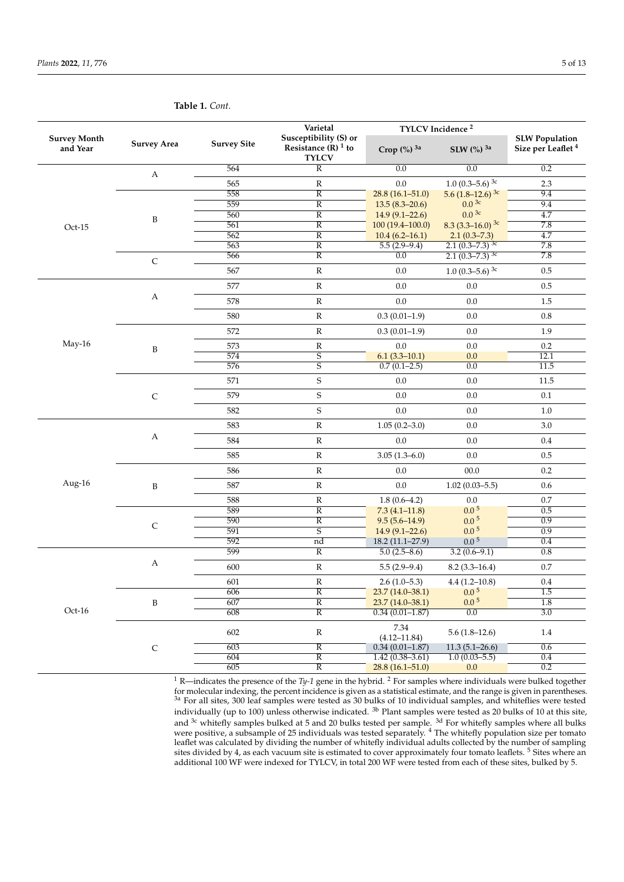| Varietal<br>Susceptibility (S) or<br><b>Survey Month</b><br><b>Survey Area</b><br><b>Survey Site</b><br>and Year<br><b>TYLCV</b> |                  |            |                                                                                                                                                                                                                                                                                                                                                                                                                                                                                                                                                                                                                                                                                                                                                                                           |                                                                                                                                                                                                                                                                                                                                                            |                                                                                                                                                                                                                                                                                                                                                                                                                                                                                                                                                                                                                                                                                                                                                  |                                                                                                                                                         |
|----------------------------------------------------------------------------------------------------------------------------------|------------------|------------|-------------------------------------------------------------------------------------------------------------------------------------------------------------------------------------------------------------------------------------------------------------------------------------------------------------------------------------------------------------------------------------------------------------------------------------------------------------------------------------------------------------------------------------------------------------------------------------------------------------------------------------------------------------------------------------------------------------------------------------------------------------------------------------------|------------------------------------------------------------------------------------------------------------------------------------------------------------------------------------------------------------------------------------------------------------------------------------------------------------------------------------------------------------|--------------------------------------------------------------------------------------------------------------------------------------------------------------------------------------------------------------------------------------------------------------------------------------------------------------------------------------------------------------------------------------------------------------------------------------------------------------------------------------------------------------------------------------------------------------------------------------------------------------------------------------------------------------------------------------------------------------------------------------------------|---------------------------------------------------------------------------------------------------------------------------------------------------------|
|                                                                                                                                  |                  |            | Resistance $(R)$ <sup>1</sup> to                                                                                                                                                                                                                                                                                                                                                                                                                                                                                                                                                                                                                                                                                                                                                          | Crop $\left(\%\right)^{3a}$                                                                                                                                                                                                                                                                                                                                | TYLCV Incidence <sup>2</sup><br><b>SLW Population</b><br>Size per Leaflet <sup>4</sup><br>SLW (%) 3a<br>0.0<br>0.2<br>1.0 $(0.3-5.6)$ <sup>3c</sup><br>$2.3\,$<br>5.6 $(1.8-12.6)$ <sup>3c</sup><br>9.4<br>$0.0^{3c}$<br>9.4<br>$0.0^{3c}$<br>4.7<br>8.3 $(3.3-16.0)$ <sup>3c</sup><br>7.8<br>4.7<br>$2.1(0.3 - 7.3)$<br>7.8<br>$2.1 (0.3 - 7.3)^{3c}$<br>$2.1(0.3 - 7.3)^{3c}$<br>7.8<br>1.0 $(0.3-5.6)$ <sup>3c</sup><br>$0.5\,$<br>$0.5\,$<br>$0.0\,$<br>0.0<br>1.5<br>$0.8\,$<br>$0.0\,$<br>$0.0\,$<br>1.9<br>0.0<br>0.2<br>12.1<br>0.0<br>$\overline{0.0}$<br>11.5<br>$0.0\,$<br>11.5<br>0.0<br>$0.1\,$<br>0.0<br>$1.0\,$<br>$0.0\,$<br>$3.0\,$<br>$0.4\,$<br>0.0<br>$0.0\,$<br>$0.5\,$<br>$00.0\,$<br>0.2<br>$1.02(0.03 - 5.5)$<br>$0.6\,$ |                                                                                                                                                         |
|                                                                                                                                  | $\mathbf{A}$     | 564        | $\overline{R}$                                                                                                                                                                                                                                                                                                                                                                                                                                                                                                                                                                                                                                                                                                                                                                            | 0.0                                                                                                                                                                                                                                                                                                                                                        |                                                                                                                                                                                                                                                                                                                                                                                                                                                                                                                                                                                                                                                                                                                                                  |                                                                                                                                                         |
|                                                                                                                                  |                  | 565        |                                                                                                                                                                                                                                                                                                                                                                                                                                                                                                                                                                                                                                                                                                                                                                                           | 0.0                                                                                                                                                                                                                                                                                                                                                        |                                                                                                                                                                                                                                                                                                                                                                                                                                                                                                                                                                                                                                                                                                                                                  |                                                                                                                                                         |
|                                                                                                                                  |                  | 558        | $\overline{R}$                                                                                                                                                                                                                                                                                                                                                                                                                                                                                                                                                                                                                                                                                                                                                                            | $28.8(16.1 - 51.0)$                                                                                                                                                                                                                                                                                                                                        |                                                                                                                                                                                                                                                                                                                                                                                                                                                                                                                                                                                                                                                                                                                                                  |                                                                                                                                                         |
|                                                                                                                                  |                  | 559        |                                                                                                                                                                                                                                                                                                                                                                                                                                                                                                                                                                                                                                                                                                                                                                                           | $13.5(8.3-20.6)$                                                                                                                                                                                                                                                                                                                                           |                                                                                                                                                                                                                                                                                                                                                                                                                                                                                                                                                                                                                                                                                                                                                  |                                                                                                                                                         |
|                                                                                                                                  | B                | 560        |                                                                                                                                                                                                                                                                                                                                                                                                                                                                                                                                                                                                                                                                                                                                                                                           |                                                                                                                                                                                                                                                                                                                                                            |                                                                                                                                                                                                                                                                                                                                                                                                                                                                                                                                                                                                                                                                                                                                                  |                                                                                                                                                         |
| $Oct-15$                                                                                                                         |                  | 561        |                                                                                                                                                                                                                                                                                                                                                                                                                                                                                                                                                                                                                                                                                                                                                                                           |                                                                                                                                                                                                                                                                                                                                                            |                                                                                                                                                                                                                                                                                                                                                                                                                                                                                                                                                                                                                                                                                                                                                  |                                                                                                                                                         |
|                                                                                                                                  |                  | 562        |                                                                                                                                                                                                                                                                                                                                                                                                                                                                                                                                                                                                                                                                                                                                                                                           |                                                                                                                                                                                                                                                                                                                                                            |                                                                                                                                                                                                                                                                                                                                                                                                                                                                                                                                                                                                                                                                                                                                                  |                                                                                                                                                         |
|                                                                                                                                  |                  | 563<br>566 |                                                                                                                                                                                                                                                                                                                                                                                                                                                                                                                                                                                                                                                                                                                                                                                           |                                                                                                                                                                                                                                                                                                                                                            |                                                                                                                                                                                                                                                                                                                                                                                                                                                                                                                                                                                                                                                                                                                                                  |                                                                                                                                                         |
|                                                                                                                                  | $\mathsf C$      |            |                                                                                                                                                                                                                                                                                                                                                                                                                                                                                                                                                                                                                                                                                                                                                                                           |                                                                                                                                                                                                                                                                                                                                                            |                                                                                                                                                                                                                                                                                                                                                                                                                                                                                                                                                                                                                                                                                                                                                  |                                                                                                                                                         |
|                                                                                                                                  |                  | 567        |                                                                                                                                                                                                                                                                                                                                                                                                                                                                                                                                                                                                                                                                                                                                                                                           |                                                                                                                                                                                                                                                                                                                                                            |                                                                                                                                                                                                                                                                                                                                                                                                                                                                                                                                                                                                                                                                                                                                                  |                                                                                                                                                         |
|                                                                                                                                  |                  | 577        |                                                                                                                                                                                                                                                                                                                                                                                                                                                                                                                                                                                                                                                                                                                                                                                           |                                                                                                                                                                                                                                                                                                                                                            |                                                                                                                                                                                                                                                                                                                                                                                                                                                                                                                                                                                                                                                                                                                                                  |                                                                                                                                                         |
|                                                                                                                                  | $\boldsymbol{A}$ | 578        | ${\mathbb R}$                                                                                                                                                                                                                                                                                                                                                                                                                                                                                                                                                                                                                                                                                                                                                                             | $0.0\,$                                                                                                                                                                                                                                                                                                                                                    |                                                                                                                                                                                                                                                                                                                                                                                                                                                                                                                                                                                                                                                                                                                                                  |                                                                                                                                                         |
|                                                                                                                                  |                  | 580        | ${\bf R}$                                                                                                                                                                                                                                                                                                                                                                                                                                                                                                                                                                                                                                                                                                                                                                                 | $0.3(0.01-1.9)$                                                                                                                                                                                                                                                                                                                                            |                                                                                                                                                                                                                                                                                                                                                                                                                                                                                                                                                                                                                                                                                                                                                  |                                                                                                                                                         |
|                                                                                                                                  |                  | 572        | ${\bf R}$                                                                                                                                                                                                                                                                                                                                                                                                                                                                                                                                                                                                                                                                                                                                                                                 | $0.3(0.01-1.9)$                                                                                                                                                                                                                                                                                                                                            |                                                                                                                                                                                                                                                                                                                                                                                                                                                                                                                                                                                                                                                                                                                                                  |                                                                                                                                                         |
| May-16                                                                                                                           | B                | 573        |                                                                                                                                                                                                                                                                                                                                                                                                                                                                                                                                                                                                                                                                                                                                                                                           | $0.0\,$                                                                                                                                                                                                                                                                                                                                                    |                                                                                                                                                                                                                                                                                                                                                                                                                                                                                                                                                                                                                                                                                                                                                  |                                                                                                                                                         |
|                                                                                                                                  |                  | 574        | $\overline{S}$                                                                                                                                                                                                                                                                                                                                                                                                                                                                                                                                                                                                                                                                                                                                                                            | $6.1(3.3-10.1)$                                                                                                                                                                                                                                                                                                                                            |                                                                                                                                                                                                                                                                                                                                                                                                                                                                                                                                                                                                                                                                                                                                                  |                                                                                                                                                         |
|                                                                                                                                  |                  | 576        |                                                                                                                                                                                                                                                                                                                                                                                                                                                                                                                                                                                                                                                                                                                                                                                           |                                                                                                                                                                                                                                                                                                                                                            |                                                                                                                                                                                                                                                                                                                                                                                                                                                                                                                                                                                                                                                                                                                                                  |                                                                                                                                                         |
|                                                                                                                                  |                  | 571        | $\mathbf S$                                                                                                                                                                                                                                                                                                                                                                                                                                                                                                                                                                                                                                                                                                                                                                               | 0.0                                                                                                                                                                                                                                                                                                                                                        |                                                                                                                                                                                                                                                                                                                                                                                                                                                                                                                                                                                                                                                                                                                                                  |                                                                                                                                                         |
|                                                                                                                                  | $\mathsf C$      | 579        | $\mathbf S$                                                                                                                                                                                                                                                                                                                                                                                                                                                                                                                                                                                                                                                                                                                                                                               | 0.0                                                                                                                                                                                                                                                                                                                                                        |                                                                                                                                                                                                                                                                                                                                                                                                                                                                                                                                                                                                                                                                                                                                                  |                                                                                                                                                         |
|                                                                                                                                  |                  | 582        | $\mathbf S$                                                                                                                                                                                                                                                                                                                                                                                                                                                                                                                                                                                                                                                                                                                                                                               | 0.0                                                                                                                                                                                                                                                                                                                                                        |                                                                                                                                                                                                                                                                                                                                                                                                                                                                                                                                                                                                                                                                                                                                                  |                                                                                                                                                         |
|                                                                                                                                  |                  | 583        | ${\mathbb R}$                                                                                                                                                                                                                                                                                                                                                                                                                                                                                                                                                                                                                                                                                                                                                                             | $1.05(0.2 - 3.0)$                                                                                                                                                                                                                                                                                                                                          |                                                                                                                                                                                                                                                                                                                                                                                                                                                                                                                                                                                                                                                                                                                                                  |                                                                                                                                                         |
|                                                                                                                                  | $\boldsymbol{A}$ | 584        | ${\mathbb R}$                                                                                                                                                                                                                                                                                                                                                                                                                                                                                                                                                                                                                                                                                                                                                                             | $0.0\,$                                                                                                                                                                                                                                                                                                                                                    |                                                                                                                                                                                                                                                                                                                                                                                                                                                                                                                                                                                                                                                                                                                                                  |                                                                                                                                                         |
|                                                                                                                                  |                  | 585        | ${\bf R}$                                                                                                                                                                                                                                                                                                                                                                                                                                                                                                                                                                                                                                                                                                                                                                                 | $3.05(1.3 - 6.0)$                                                                                                                                                                                                                                                                                                                                          |                                                                                                                                                                                                                                                                                                                                                                                                                                                                                                                                                                                                                                                                                                                                                  |                                                                                                                                                         |
|                                                                                                                                  |                  | 586        | ${\mathbb R}$                                                                                                                                                                                                                                                                                                                                                                                                                                                                                                                                                                                                                                                                                                                                                                             | 0.0                                                                                                                                                                                                                                                                                                                                                        |                                                                                                                                                                                                                                                                                                                                                                                                                                                                                                                                                                                                                                                                                                                                                  |                                                                                                                                                         |
| Aug-16                                                                                                                           | B                | 587        | ${\mathbb R}$                                                                                                                                                                                                                                                                                                                                                                                                                                                                                                                                                                                                                                                                                                                                                                             | $0.0\,$                                                                                                                                                                                                                                                                                                                                                    |                                                                                                                                                                                                                                                                                                                                                                                                                                                                                                                                                                                                                                                                                                                                                  | $0.7\,$<br>0.0<br>0.5<br>0.9<br>0.9<br>0.4<br>0.8<br>$0.7\,$<br>$0.4\,$<br>1.5<br>1.8<br>$\overline{0.0}$<br>3.0<br>$1.4\,$<br>0.6<br>0.4<br>0.2<br>0.0 |
|                                                                                                                                  |                  | 588        | ${\bf R}$                                                                                                                                                                                                                                                                                                                                                                                                                                                                                                                                                                                                                                                                                                                                                                                 | $0.7(0.1-2.5)$<br>$1.8(0.6-4.2)$<br>0.0 <sup>5</sup><br>$7.3(4.1 - 11.8)$<br>$0.05$<br>$9.5(5.6-14.9)$<br>0.05<br>$14.9(9.1 - 22.6)$<br>0.05<br>18.2 (11.1-27.9)<br>$3.2(0.6-9.1)$<br>$5.0(2.5-8.6)$<br>$5.5(2.9-9.4)$<br>$8.2(3.3-16.4)$<br>$2.6(1.0-5.3)$<br>$4.4(1.2 - 10.8)$<br>$0.0^{5}$<br>$23.7(14.0-38.1)$<br>0.0 <sup>5</sup><br>23.7 (14.0-38.1) |                                                                                                                                                                                                                                                                                                                                                                                                                                                                                                                                                                                                                                                                                                                                                  |                                                                                                                                                         |
|                                                                                                                                  |                  | 589        | ${\bf R}$<br>$\overline{R}$<br>$\overline{\mathbb{R}}$<br>$14.9(9.1 - 22.6)$<br>$\overline{\mathbb{R}}$<br>$100(19.4 - 100.0)$<br>$\overline{\mathrm{R}}$<br>$10.4(6.2 - 16.1)$<br>$\overline{R}$<br>$5.5(2.9-9.4)$<br>$\overline{R}$<br>0.0<br>${\bf R}$<br>$0.0\,$<br>${\mathbb R}$<br>$0.0\,$<br>${\bf R}$<br>$\overline{S}$<br>$\overline{R}$<br>$\overline{\mathbb{R}}$<br>$\overline{S}$<br>nd<br>$\overline{R}$<br>${\mathbb R}$<br>${\mathbb R}$<br>$\ensuremath{\mathsf{R}}$<br>$\overline{R}$<br>$\overline{\mathbb{R}}$<br>$0.34(0.01 - 1.87)$<br>7.34<br>${\bf R}$<br>$5.6(1.8-12.6)$<br>$(4.12 - 11.84)$<br>$\overline{R}$<br>$0.34(0.01-1.87)$<br>$11.3(5.1 - 26.6)$<br>$\overline{R}$<br>$1.0(0.03 - 5.5)$<br>$1.42(0.38 - 3.61)$<br>$\overline{R}$<br>$28.8(16.1 - 51.0)$ |                                                                                                                                                                                                                                                                                                                                                            |                                                                                                                                                                                                                                                                                                                                                                                                                                                                                                                                                                                                                                                                                                                                                  |                                                                                                                                                         |
|                                                                                                                                  | $\mathsf C$      | 590        |                                                                                                                                                                                                                                                                                                                                                                                                                                                                                                                                                                                                                                                                                                                                                                                           |                                                                                                                                                                                                                                                                                                                                                            |                                                                                                                                                                                                                                                                                                                                                                                                                                                                                                                                                                                                                                                                                                                                                  |                                                                                                                                                         |
|                                                                                                                                  |                  | 591        |                                                                                                                                                                                                                                                                                                                                                                                                                                                                                                                                                                                                                                                                                                                                                                                           |                                                                                                                                                                                                                                                                                                                                                            |                                                                                                                                                                                                                                                                                                                                                                                                                                                                                                                                                                                                                                                                                                                                                  |                                                                                                                                                         |
|                                                                                                                                  |                  | 592        |                                                                                                                                                                                                                                                                                                                                                                                                                                                                                                                                                                                                                                                                                                                                                                                           |                                                                                                                                                                                                                                                                                                                                                            |                                                                                                                                                                                                                                                                                                                                                                                                                                                                                                                                                                                                                                                                                                                                                  |                                                                                                                                                         |
|                                                                                                                                  | $\boldsymbol{A}$ | 599        |                                                                                                                                                                                                                                                                                                                                                                                                                                                                                                                                                                                                                                                                                                                                                                                           |                                                                                                                                                                                                                                                                                                                                                            |                                                                                                                                                                                                                                                                                                                                                                                                                                                                                                                                                                                                                                                                                                                                                  |                                                                                                                                                         |
|                                                                                                                                  |                  | 600        |                                                                                                                                                                                                                                                                                                                                                                                                                                                                                                                                                                                                                                                                                                                                                                                           |                                                                                                                                                                                                                                                                                                                                                            |                                                                                                                                                                                                                                                                                                                                                                                                                                                                                                                                                                                                                                                                                                                                                  |                                                                                                                                                         |
|                                                                                                                                  |                  | 601        |                                                                                                                                                                                                                                                                                                                                                                                                                                                                                                                                                                                                                                                                                                                                                                                           |                                                                                                                                                                                                                                                                                                                                                            |                                                                                                                                                                                                                                                                                                                                                                                                                                                                                                                                                                                                                                                                                                                                                  |                                                                                                                                                         |
|                                                                                                                                  |                  | 606        |                                                                                                                                                                                                                                                                                                                                                                                                                                                                                                                                                                                                                                                                                                                                                                                           |                                                                                                                                                                                                                                                                                                                                                            |                                                                                                                                                                                                                                                                                                                                                                                                                                                                                                                                                                                                                                                                                                                                                  |                                                                                                                                                         |
| $Oct-16$                                                                                                                         | B                | 607        |                                                                                                                                                                                                                                                                                                                                                                                                                                                                                                                                                                                                                                                                                                                                                                                           |                                                                                                                                                                                                                                                                                                                                                            |                                                                                                                                                                                                                                                                                                                                                                                                                                                                                                                                                                                                                                                                                                                                                  |                                                                                                                                                         |
|                                                                                                                                  |                  | 608        |                                                                                                                                                                                                                                                                                                                                                                                                                                                                                                                                                                                                                                                                                                                                                                                           |                                                                                                                                                                                                                                                                                                                                                            |                                                                                                                                                                                                                                                                                                                                                                                                                                                                                                                                                                                                                                                                                                                                                  |                                                                                                                                                         |
|                                                                                                                                  |                  | 602        |                                                                                                                                                                                                                                                                                                                                                                                                                                                                                                                                                                                                                                                                                                                                                                                           |                                                                                                                                                                                                                                                                                                                                                            |                                                                                                                                                                                                                                                                                                                                                                                                                                                                                                                                                                                                                                                                                                                                                  |                                                                                                                                                         |
|                                                                                                                                  | $\mathsf C$      | 603        |                                                                                                                                                                                                                                                                                                                                                                                                                                                                                                                                                                                                                                                                                                                                                                                           |                                                                                                                                                                                                                                                                                                                                                            |                                                                                                                                                                                                                                                                                                                                                                                                                                                                                                                                                                                                                                                                                                                                                  |                                                                                                                                                         |
|                                                                                                                                  |                  | 604        |                                                                                                                                                                                                                                                                                                                                                                                                                                                                                                                                                                                                                                                                                                                                                                                           |                                                                                                                                                                                                                                                                                                                                                            |                                                                                                                                                                                                                                                                                                                                                                                                                                                                                                                                                                                                                                                                                                                                                  |                                                                                                                                                         |
|                                                                                                                                  |                  | 605        |                                                                                                                                                                                                                                                                                                                                                                                                                                                                                                                                                                                                                                                                                                                                                                                           |                                                                                                                                                                                                                                                                                                                                                            |                                                                                                                                                                                                                                                                                                                                                                                                                                                                                                                                                                                                                                                                                                                                                  |                                                                                                                                                         |

**Table 1.** *Cont.*

<sup>1</sup> R—indicates the presence of the *Ty-1* gene in the hybrid. <sup>2</sup> For samples where individuals were bulked together for molecular indexing, the percent incidence is given as a statistical estimate, and the range is given in parentheses.  $3a$  For all sites, 300 leaf samples were tested as 30 bulks of 10 individual samples, and whiteflies were tested individually (up to 100) unless otherwise indicated. 3b Plant samples were tested as 20 bulks of 10 at this site, and  $3c$  whitefly samples bulked at 5 and 20 bulks tested per sample.  $3d$  For whitefly samples where all bulks were positive, a subsample of 25 individuals was tested separately. <sup>4</sup> The whitefly population size per tomato leaflet was calculated by dividing the number of whitefly individual adults collected by the number of sampling sites divided by 4, as each vacuum site is estimated to cover approximately four tomato leaflets. <sup>5</sup> Sites where an additional 100 WF were indexed for TYLCV, in total 200 WF were tested from each of these sites, bulked by 5.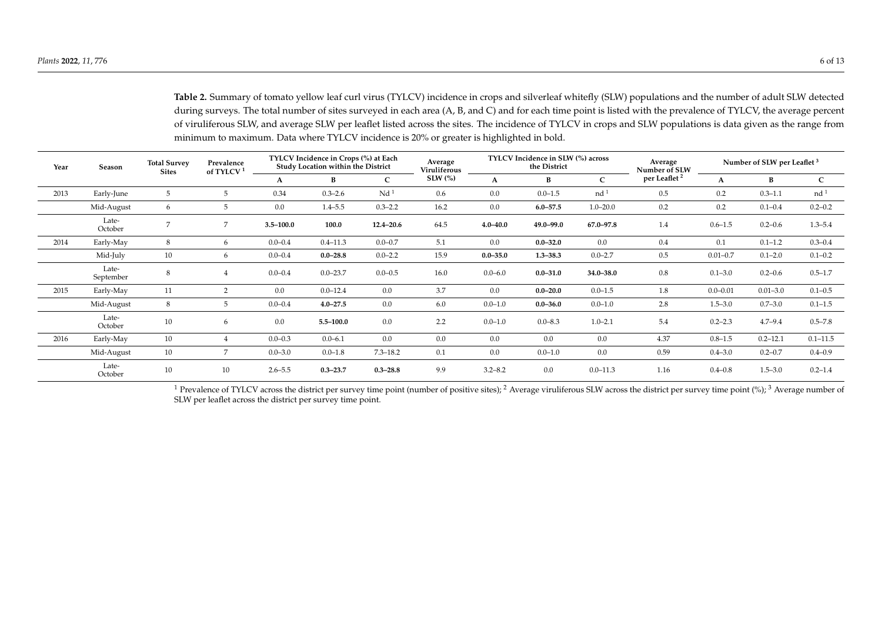**Table 2.** Summary of tomato yellow leaf curl virus (TYLCV) incidence in crops and silverleaf whitefly (SLW) populations and the number of adult SLW detected during surveys. The total number of sites surveyed in each area (A, B, and C) and for each time point is listed with the prevalence of TYLCV, the average percent of viruliferous SLW, and average SLW per leaflet listed across the sites. The incidence of TYLCV in crops and SLW populations is data given as the range from minimum to maximum. Data where TYLCV incidence is 20% or greater is highlighted in bold.

| Year | Season             | <b>Total Survey</b><br><b>Sites</b> | Prevalence<br>of TYLCV <sup>1</sup> | TYLCV Incidence in Crops (%) at Each<br>Study Location within the District |               | Average<br>Viruliferous | TYLCV Incidence in SLW (%) across<br>the District |              |               | Average<br>Number of SLW | Number of SLW per Leaflet <sup>3</sup> |              |              |                 |
|------|--------------------|-------------------------------------|-------------------------------------|----------------------------------------------------------------------------|---------------|-------------------------|---------------------------------------------------|--------------|---------------|--------------------------|----------------------------------------|--------------|--------------|-----------------|
|      |                    |                                     |                                     | A                                                                          | B             | $\mathsf{C}$            | $SLW$ $\left(\frac{9}{6}\right)$                  | A            | В             | $\mathbf{C}$             | per Leaflet <sup>2</sup>               | A            | В            | C               |
| 2013 | Early-June         | 5                                   | 5                                   | 0.34                                                                       | $0.3 - 2.6$   | Nd <sup>1</sup>         | 0.6                                               | 0.0          | $0.0 - 1.5$   | nd <sup>1</sup>          | 0.5                                    | 0.2          | $0.3 - 1.1$  | nd <sup>1</sup> |
|      | Mid-August         | 6                                   | 5                                   | 0.0                                                                        | $1.4 - 5.5$   | $0.3 - 2.2$             | 16.2                                              | 0.0          | $6.0 - 57.5$  | $1.0 - 20.0$             | 0.2                                    | 0.2          | $0.1 - 0.4$  | $0.2 - 0.2$     |
|      | Late-<br>October   | 7                                   | 7                                   | $3.5 - 100.0$                                                              | 100.0         | $12.4 - 20.6$           | 64.5                                              | $4.0 - 40.0$ | $49.0 - 99.0$ | 67.0-97.8                | 1.4                                    | $0.6 - 1.5$  | $0.2 - 0.6$  | $1.3 - 5.4$     |
| 2014 | Early-May          | 8                                   | 6                                   | $0.0 - 0.4$                                                                | $0.4 - 11.3$  | $0.0 - 0.7$             | 5.1                                               | 0.0          | $0.0 - 32.0$  | 0.0                      | 0.4                                    | 0.1          | $0.1 - 1.2$  | $0.3 - 0.4$     |
|      | Mid-July           | 10                                  | 6                                   | $0.0 - 0.4$                                                                | $0.0 - 28.8$  | $0.0 - 2.2$             | 15.9                                              | $0.0 - 35.0$ | $1.3 - 38.3$  | $0.0 - 2.7$              | 0.5                                    | $0.01 - 0.7$ | $0.1 - 2.0$  | $0.1 - 0.2$     |
|      | Late-<br>September | 8                                   |                                     | $0.0 - 0.4$                                                                | $0.0 - 23.7$  | $0.0 - 0.5$             | 16.0                                              | $0.0 - 6.0$  | $0.0 - 31.0$  | $34.0 - 38.0$            | $0.8\,$                                | $0.1 - 3.0$  | $0.2 - 0.6$  | $0.5 - 1.7$     |
| 2015 | Early-May          | 11                                  | $\overline{2}$                      | 0.0                                                                        | $0.0 - 12.4$  | 0.0                     | 3.7                                               | 0.0          | $0.0 - 20.0$  | $0.0 - 1.5$              | 1.8                                    | $0.0 - 0.01$ | $0.01 - 3.0$ | $0.1 - 0.5$     |
|      | Mid-August         | 8                                   | 5                                   | $0.0 - 0.4$                                                                | $4.0 - 27.5$  | 0.0                     | 6.0                                               | $0.0 - 1.0$  | $0.0 - 36.0$  | $0.0 - 1.0$              | 2.8                                    | $1.5 - 3.0$  | $0.7 - 3.0$  | $0.1 - 1.5$     |
|      | Late-<br>October   | 10                                  | 6                                   | 0.0                                                                        | $5.5 - 100.0$ | 0.0                     | 2.2                                               | $0.0 - 1.0$  | $0.0 - 8.3$   | $1.0 - 2.1$              | 5.4                                    | $0.2 - 2.3$  | $4.7 - 9.4$  | $0.5 - 7.8$     |
| 2016 | Early-May          | 10                                  | 4                                   | $0.0 - 0.3$                                                                | $0.0 - 6.1$   | 0.0                     | 0.0                                               | 0.0          | 0.0           | 0.0                      | 4.37                                   | $0.8 - 1.5$  | $0.2 - 12.1$ | $0.1 - 11.5$    |
|      | Mid-August         | 10                                  | 7                                   | $0.0 - 3.0$                                                                | $0.0 - 1.8$   | $7.3 - 18.2$            | 0.1                                               | 0.0          | $0.0 - 1.0$   | 0.0                      | 0.59                                   | $0.4 - 3.0$  | $0.2 - 0.7$  | $0.4 - 0.9$     |
|      | Late-<br>October   | 10                                  | 10                                  | $2.6 - 5.5$                                                                | $0.3 - 23.7$  | $0.3 - 28.8$            | 9.9                                               | $3.2 - 8.2$  | 0.0           | $0.0 - 11.3$             | 1.16                                   | $0.4 - 0.8$  | $1.5 - 3.0$  | $0.2 - 1.4$     |

<span id="page-5-0"></span><sup>1</sup> Prevalence of TYLCV across the district per survey time point (number of positive sites); <sup>2</sup> Average viruliferous SLW across the district per survey time point (%); <sup>3</sup> Average number of SLW per leaflet across the district per survey time point.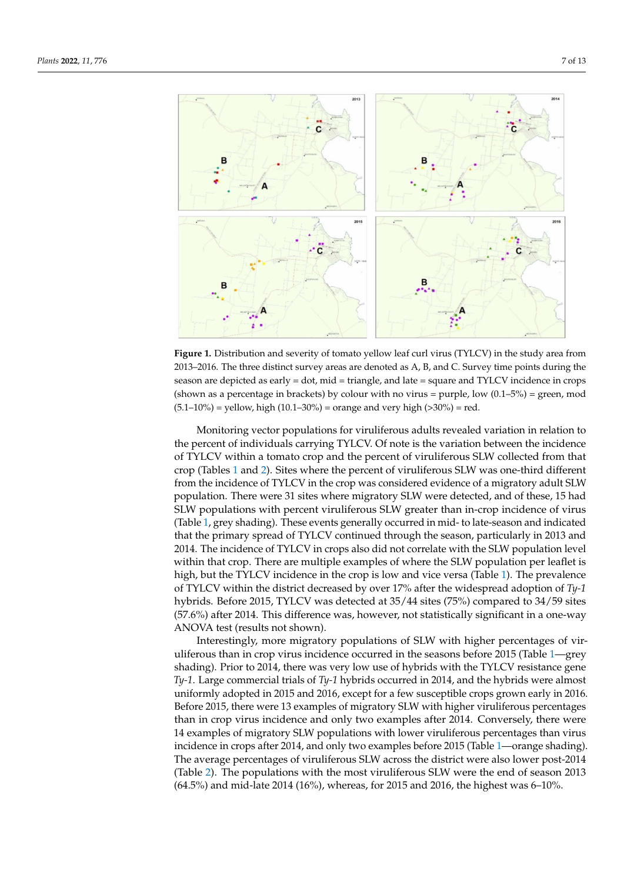<span id="page-6-0"></span>

**Figure 1.** Distribution and severity of tomato yellow leaf curl virus (TYLCV) in the study area from 2013–2016. The three distinct survey areas are denoted as A, B, and C. Survey time points during the season are depicted as early = dot, mid = triangle, and late = square and TYLCV incidence in crops (shown as a percentage in brackets) by colour with no virus = purple, low  $(0.1-5%)$  = green, mod  $(5.1-10\%)$  = yellow, high  $(10.1-30\%)$  = orange and very high  $(>30\%)$  = red.

Monitoring vector populations for viruliferous adults revealed variation in relation to the percent of individuals carrying TYLCV. Of note is the variation between the incidence of TYLCV within a tomato crop and the percent of viruliferous SLW collected from that crop (Tables [1](#page-2-0) and [2\)](#page-5-0). Sites where the percent of viruliferous SLW was one-third different from the incidence of TYLCV in the crop was considered evidence of a migratory adult SLW population. There were 31 sites where migratory SLW were detected, and of these, 15 had SLW populations with percent viruliferous SLW greater than in-crop incidence of virus (Table [1,](#page-2-0) grey shading). These events generally occurred in mid- to late-season and indicated that the primary spread of TYLCV continued through the season, particularly in 2013 and 2014. The incidence of TYLCV in crops also did not correlate with the SLW population level within that crop. There are multiple examples of where the SLW population per leaflet is high, but the TYLCV incidence in the crop is low and vice versa (Table [1\)](#page-2-0). The prevalence of TYLCV within the district decreased by over 17% after the widespread adoption of *Ty-1* hybrids. Before 2015, TYLCV was detected at 35/44 sites (75%) compared to 34/59 sites (57.6%) after 2014. This difference was, however, not statistically significant in a one-way ANOVA test (results not shown).

Interestingly, more migratory populations of SLW with higher percentages of viruliferous than in crop virus incidence occurred in the seasons before 2015 (Table [1—](#page-2-0)grey shading). Prior to 2014, there was very low use of hybrids with the TYLCV resistance gene *Ty-1*. Large commercial trials of *Ty-1* hybrids occurred in 2014, and the hybrids were almost uniformly adopted in 2015 and 2016, except for a few susceptible crops grown early in 2016. Before 2015, there were 13 examples of migratory SLW with higher viruliferous percentages than in crop virus incidence and only two examples after 2014. Conversely, there were 14 examples of migratory SLW populations with lower viruliferous percentages than virus incidence in crops after 2014, and only two examples before 2015 (Table [1—](#page-2-0)orange shading). The average percentages of viruliferous SLW across the district were also lower post-2014 (Table [2\)](#page-5-0). The populations with the most viruliferous SLW were the end of season 2013 (64.5%) and mid-late 2014 (16%), whereas, for 2015 and 2016, the highest was 6–10%.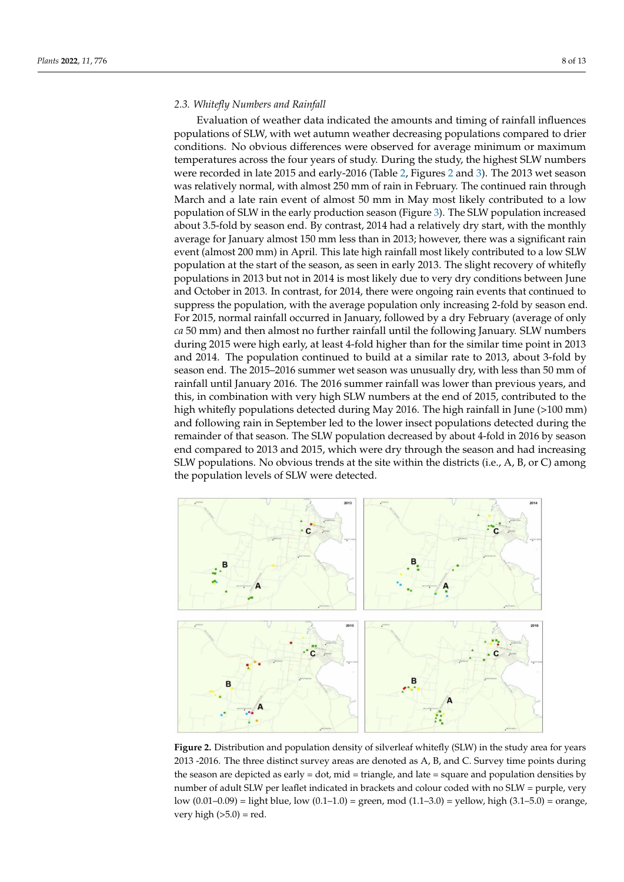### *2.3. Whitefly Numbers and Rainfall*

Evaluation of weather data indicated the amounts and timing of rainfall influences populations of SLW, with wet autumn weather decreasing populations compared to drier conditions. No obvious differences were observed for average minimum or maximum temperatures across the four years of study. During the study, the highest SLW numbers were recorded in late 2015 and early-2016 (Table [2,](#page-5-0) Figures [2](#page-7-0) and [3\)](#page-8-0). The 2013 wet season was relatively normal, with almost 250 mm of rain in February. The continued rain through March and a late rain event of almost 50 mm in May most likely contributed to a low population of SLW in the early production season (Figure [3\)](#page-8-0). The SLW population increased about 3.5-fold by season end. By contrast, 2014 had a relatively dry start, with the monthly average for January almost 150 mm less than in 2013; however, there was a significant rain event (almost 200 mm) in April. This late high rainfall most likely contributed to a low SLW population at the start of the season, as seen in early 2013. The slight recovery of whitefly populations in 2013 but not in 2014 is most likely due to very dry conditions between June and October in 2013. In contrast, for 2014, there were ongoing rain events that continued to suppress the population, with the average population only increasing 2-fold by season end. For 2015, normal rainfall occurred in January, followed by a dry February (average of only *ca* 50 mm) and then almost no further rainfall until the following January. SLW numbers during 2015 were high early, at least 4-fold higher than for the similar time point in 2013 and 2014. The population continued to build at a similar rate to 2013, about 3-fold by season end. The 2015–2016 summer wet season was unusually dry, with less than 50 mm of rainfall until January 2016. The 2016 summer rainfall was lower than previous years, and this, in combination with very high SLW numbers at the end of 2015, contributed to the high whitefly populations detected during May 2016. The high rainfall in June (>100 mm) and following rain in September led to the lower insect populations detected during the remainder of that season. The SLW population decreased by about 4-fold in 2016 by season end compared to 2013 and 2015, which were dry through the season and had increasing SLW populations. No obvious trends at the site within the districts (i.e., A, B, or C) among the population levels of SLW were detected.

<span id="page-7-0"></span>

**Figure 2.** Distribution and population density of silverleaf whitefly (SLW) in the study area for years 2013 -2016. The three distinct survey areas are denoted as A, B, and C. Survey time points during the season are depicted as early = dot, mid = triangle, and late = square and population densities by number of adult SLW per leaflet indicated in brackets and colour coded with no SLW = purple, very low  $(0.01-0.09)$  = light blue, low  $(0.1-1.0)$  = green, mod  $(1.1-3.0)$  = yellow, high  $(3.1-5.0)$  = orange, very high  $(>5.0)$  = red.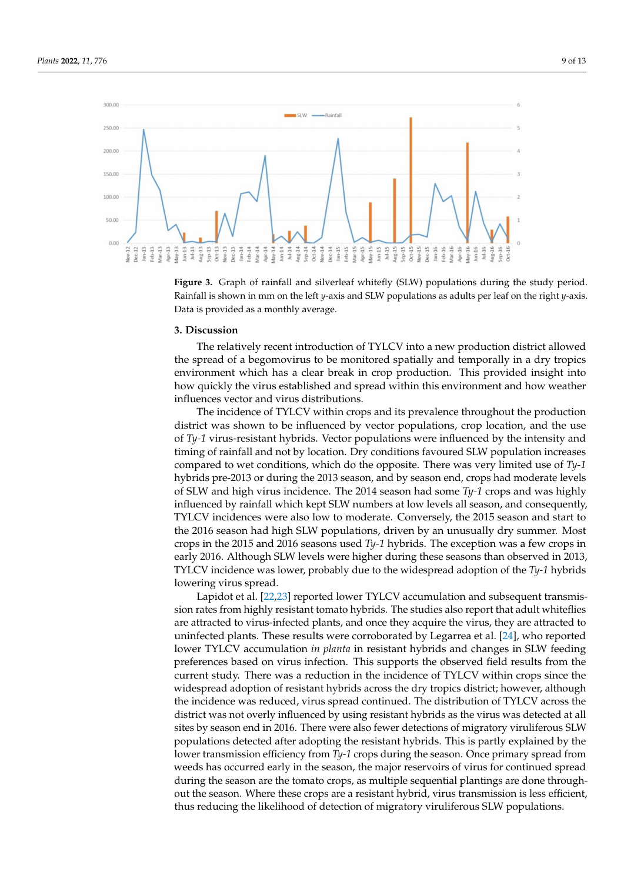<span id="page-8-0"></span>

**Figure 3.** Graph of rainfall and silverleaf whitefly (SLW) populations during the study period. Rainfall is shown in mm on the left *y*-axis and SLW populations as adults per leaf on the right *y*-axis. Data is provided as a monthly average.

#### **3. Discussion**

The relatively recent introduction of TYLCV into a new production district allowed the spread of a begomovirus to be monitored spatially and temporally in a dry tropics environment which has a clear break in crop production. This provided insight into how quickly the virus established and spread within this environment and how weather influences vector and virus distributions.

The incidence of TYLCV within crops and its prevalence throughout the production district was shown to be influenced by vector populations, crop location, and the use of *Ty-1* virus-resistant hybrids. Vector populations were influenced by the intensity and timing of rainfall and not by location. Dry conditions favoured SLW population increases compared to wet conditions, which do the opposite. There was very limited use of *Ty-1* hybrids pre-2013 or during the 2013 season, and by season end, crops had moderate levels of SLW and high virus incidence. The 2014 season had some *Ty-1* crops and was highly influenced by rainfall which kept SLW numbers at low levels all season, and consequently, TYLCV incidences were also low to moderate. Conversely, the 2015 season and start to the 2016 season had high SLW populations, driven by an unusually dry summer. Most crops in the 2015 and 2016 seasons used *Ty-1* hybrids. The exception was a few crops in early 2016. Although SLW levels were higher during these seasons than observed in 2013, TYLCV incidence was lower, probably due to the widespread adoption of the *Ty-1* hybrids lowering virus spread.

Lapidot et al. [\[22](#page-12-3)[,23\]](#page-12-4) reported lower TYLCV accumulation and subsequent transmission rates from highly resistant tomato hybrids. The studies also report that adult whiteflies are attracted to virus-infected plants, and once they acquire the virus, they are attracted to uninfected plants. These results were corroborated by Legarrea et al. [\[24\]](#page-12-5), who reported lower TYLCV accumulation *in planta* in resistant hybrids and changes in SLW feeding preferences based on virus infection. This supports the observed field results from the current study. There was a reduction in the incidence of TYLCV within crops since the widespread adoption of resistant hybrids across the dry tropics district; however, although the incidence was reduced, virus spread continued. The distribution of TYLCV across the district was not overly influenced by using resistant hybrids as the virus was detected at all sites by season end in 2016. There were also fewer detections of migratory viruliferous SLW populations detected after adopting the resistant hybrids. This is partly explained by the lower transmission efficiency from *Ty-1* crops during the season. Once primary spread from weeds has occurred early in the season, the major reservoirs of virus for continued spread during the season are the tomato crops, as multiple sequential plantings are done throughout the season. Where these crops are a resistant hybrid, virus transmission is less efficient, thus reducing the likelihood of detection of migratory viruliferous SLW populations.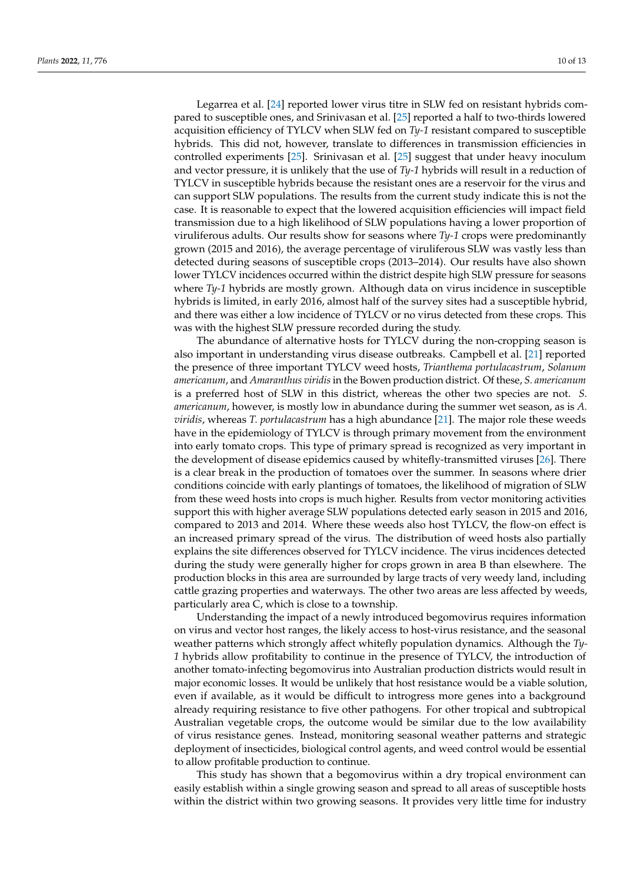Legarrea et al. [\[24\]](#page-12-5) reported lower virus titre in SLW fed on resistant hybrids compared to susceptible ones, and Srinivasan et al. [\[25\]](#page-12-6) reported a half to two-thirds lowered acquisition efficiency of TYLCV when SLW fed on *Ty-1* resistant compared to susceptible hybrids. This did not, however, translate to differences in transmission efficiencies in controlled experiments [\[25\]](#page-12-6). Srinivasan et al. [\[25\]](#page-12-6) suggest that under heavy inoculum and vector pressure, it is unlikely that the use of *Ty-1* hybrids will result in a reduction of TYLCV in susceptible hybrids because the resistant ones are a reservoir for the virus and can support SLW populations. The results from the current study indicate this is not the case. It is reasonable to expect that the lowered acquisition efficiencies will impact field transmission due to a high likelihood of SLW populations having a lower proportion of viruliferous adults. Our results show for seasons where *Ty-1* crops were predominantly grown (2015 and 2016), the average percentage of viruliferous SLW was vastly less than detected during seasons of susceptible crops (2013–2014). Our results have also shown lower TYLCV incidences occurred within the district despite high SLW pressure for seasons where *Ty-1* hybrids are mostly grown. Although data on virus incidence in susceptible hybrids is limited, in early 2016, almost half of the survey sites had a susceptible hybrid, and there was either a low incidence of TYLCV or no virus detected from these crops. This was with the highest SLW pressure recorded during the study.

The abundance of alternative hosts for TYLCV during the non-cropping season is also important in understanding virus disease outbreaks. Campbell et al. [\[21\]](#page-12-2) reported the presence of three important TYLCV weed hosts, *Trianthema portulacastrum*, *Solanum americanum*, and *Amaranthus viridis* in the Bowen production district. Of these, *S. americanum* is a preferred host of SLW in this district, whereas the other two species are not. *S. americanum*, however, is mostly low in abundance during the summer wet season, as is *A. viridis*, whereas *T. portulacastrum* has a high abundance [\[21\]](#page-12-2). The major role these weeds have in the epidemiology of TYLCV is through primary movement from the environment into early tomato crops. This type of primary spread is recognized as very important in the development of disease epidemics caused by whitefly-transmitted viruses [\[26\]](#page-12-7). There is a clear break in the production of tomatoes over the summer. In seasons where drier conditions coincide with early plantings of tomatoes, the likelihood of migration of SLW from these weed hosts into crops is much higher. Results from vector monitoring activities support this with higher average SLW populations detected early season in 2015 and 2016, compared to 2013 and 2014. Where these weeds also host TYLCV, the flow-on effect is an increased primary spread of the virus. The distribution of weed hosts also partially explains the site differences observed for TYLCV incidence. The virus incidences detected during the study were generally higher for crops grown in area B than elsewhere. The production blocks in this area are surrounded by large tracts of very weedy land, including cattle grazing properties and waterways. The other two areas are less affected by weeds, particularly area C, which is close to a township.

Understanding the impact of a newly introduced begomovirus requires information on virus and vector host ranges, the likely access to host-virus resistance, and the seasonal weather patterns which strongly affect whitefly population dynamics. Although the *Ty-1* hybrids allow profitability to continue in the presence of TYLCV, the introduction of another tomato-infecting begomovirus into Australian production districts would result in major economic losses. It would be unlikely that host resistance would be a viable solution, even if available, as it would be difficult to introgress more genes into a background already requiring resistance to five other pathogens. For other tropical and subtropical Australian vegetable crops, the outcome would be similar due to the low availability of virus resistance genes. Instead, monitoring seasonal weather patterns and strategic deployment of insecticides, biological control agents, and weed control would be essential to allow profitable production to continue.

This study has shown that a begomovirus within a dry tropical environment can easily establish within a single growing season and spread to all areas of susceptible hosts within the district within two growing seasons. It provides very little time for industry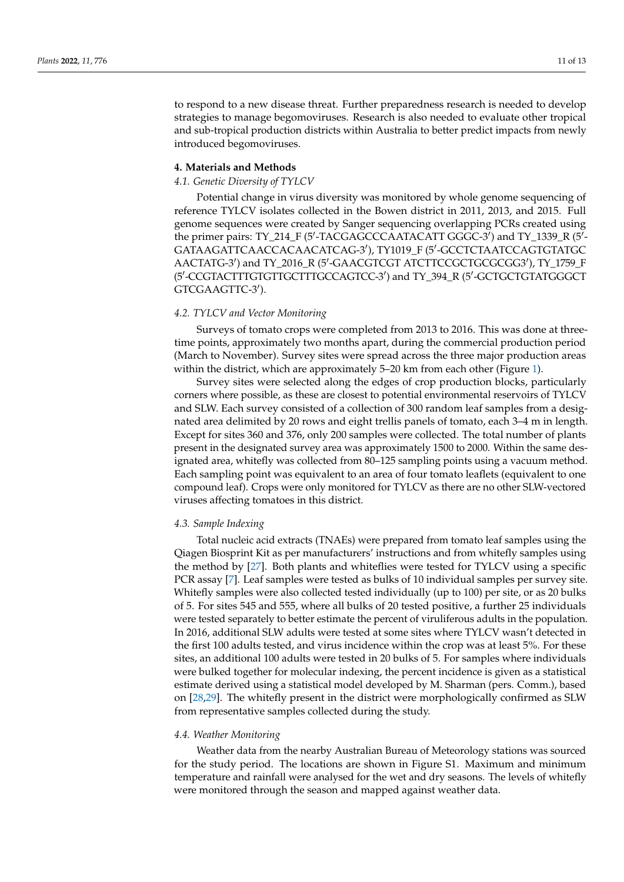to respond to a new disease threat. Further preparedness research is needed to develop strategies to manage begomoviruses. Research is also needed to evaluate other tropical and sub-tropical production districts within Australia to better predict impacts from newly introduced begomoviruses.

### **4. Materials and Methods**

### *4.1. Genetic Diversity of TYLCV*

Potential change in virus diversity was monitored by whole genome sequencing of reference TYLCV isolates collected in the Bowen district in 2011, 2013, and 2015. Full genome sequences were created by Sanger sequencing overlapping PCRs created using the primer pairs: TY\_214\_F (5'-TACGAGCCCAATACATT GGGC-3') and TY\_1339\_R (5'-GATAAGATTCAACCACAACATCAG-3'), TY1019\_F (5'-GCCTCTAATCCAGTGTATGC AACTATG-3') and TY\_2016\_R (5'-GAACGTCGT ATCTTCCGCTGCGCGG3'), TY\_1759\_F (5'-CCGTACTTTGTGTTGCTTTGCCAGTCC-3') and TY\_394\_R (5'-GCTGCTGTATGGGCT GTCGAAGTTC-3').

# *4.2. TYLCV and Vector Monitoring*

Surveys of tomato crops were completed from 2013 to 2016. This was done at threetime points, approximately two months apart, during the commercial production period (March to November). Survey sites were spread across the three major production areas within the district, which are approximately 5–20 km from each other (Figure [1\)](#page-6-0).

Survey sites were selected along the edges of crop production blocks, particularly corners where possible, as these are closest to potential environmental reservoirs of TYLCV and SLW. Each survey consisted of a collection of 300 random leaf samples from a designated area delimited by 20 rows and eight trellis panels of tomato, each 3–4 m in length. Except for sites 360 and 376, only 200 samples were collected. The total number of plants present in the designated survey area was approximately 1500 to 2000. Within the same designated area, whitefly was collected from 80–125 sampling points using a vacuum method. Each sampling point was equivalent to an area of four tomato leaflets (equivalent to one compound leaf). Crops were only monitored for TYLCV as there are no other SLW-vectored viruses affecting tomatoes in this district.

# *4.3. Sample Indexing*

Total nucleic acid extracts (TNAEs) were prepared from tomato leaf samples using the Qiagen Biosprint Kit as per manufacturers' instructions and from whitefly samples using the method by [\[27\]](#page-12-8). Both plants and whiteflies were tested for TYLCV using a specific PCR assay [\[7\]](#page-11-6). Leaf samples were tested as bulks of 10 individual samples per survey site. Whitefly samples were also collected tested individually (up to 100) per site, or as 20 bulks of 5. For sites 545 and 555, where all bulks of 20 tested positive, a further 25 individuals were tested separately to better estimate the percent of viruliferous adults in the population. In 2016, additional SLW adults were tested at some sites where TYLCV wasn't detected in the first 100 adults tested, and virus incidence within the crop was at least 5%. For these sites, an additional 100 adults were tested in 20 bulks of 5. For samples where individuals were bulked together for molecular indexing, the percent incidence is given as a statistical estimate derived using a statistical model developed by M. Sharman (pers. Comm.), based on [\[28,](#page-12-9)[29\]](#page-12-10). The whitefly present in the district were morphologically confirmed as SLW from representative samples collected during the study.

#### *4.4. Weather Monitoring*

Weather data from the nearby Australian Bureau of Meteorology stations was sourced for the study period. The locations are shown in Figure S1. Maximum and minimum temperature and rainfall were analysed for the wet and dry seasons. The levels of whitefly were monitored through the season and mapped against weather data.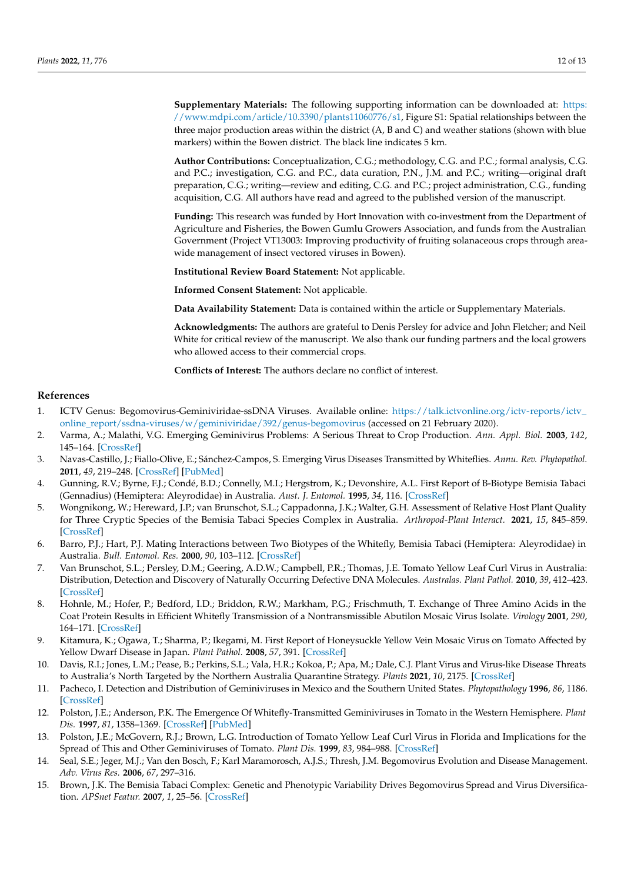**Supplementary Materials:** The following supporting information can be downloaded at: [https:](https://www.mdpi.com/article/10.3390/plants11060776/s1) [//www.mdpi.com/article/10.3390/plants11060776/s1,](https://www.mdpi.com/article/10.3390/plants11060776/s1) Figure S1: Spatial relationships between the three major production areas within the district (A, B and C) and weather stations (shown with blue markers) within the Bowen district. The black line indicates 5 km.

**Author Contributions:** Conceptualization, C.G.; methodology, C.G. and P.C.; formal analysis, C.G. and P.C.; investigation, C.G. and P.C., data curation, P.N., J.M. and P.C.; writing—original draft preparation, C.G.; writing—review and editing, C.G. and P.C.; project administration, C.G., funding acquisition, C.G. All authors have read and agreed to the published version of the manuscript.

**Funding:** This research was funded by Hort Innovation with co-investment from the Department of Agriculture and Fisheries, the Bowen Gumlu Growers Association, and funds from the Australian Government (Project VT13003: Improving productivity of fruiting solanaceous crops through areawide management of insect vectored viruses in Bowen).

**Institutional Review Board Statement:** Not applicable.

**Informed Consent Statement:** Not applicable.

**Data Availability Statement:** Data is contained within the article or Supplementary Materials.

**Acknowledgments:** The authors are grateful to Denis Persley for advice and John Fletcher; and Neil White for critical review of the manuscript. We also thank our funding partners and the local growers who allowed access to their commercial crops.

**Conflicts of Interest:** The authors declare no conflict of interest.

#### **References**

- <span id="page-11-0"></span>1. ICTV Genus: Begomovirus-Geminiviridae-ssDNA Viruses. Available online: [https://talk.ictvonline.org/ictv-reports/ictv\\_](https://talk.ictvonline.org/ictv-reports/ictv_online_report/ssdna-viruses/w/geminiviridae/392/genus-begomovirus) [online\\_report/ssdna-viruses/w/geminiviridae/392/genus-begomovirus](https://talk.ictvonline.org/ictv-reports/ictv_online_report/ssdna-viruses/w/geminiviridae/392/genus-begomovirus) (accessed on 21 February 2020).
- <span id="page-11-1"></span>2. Varma, A.; Malathi, V.G. Emerging Geminivirus Problems: A Serious Threat to Crop Production. *Ann. Appl. Biol.* **2003**, *142*, 145–164. [\[CrossRef\]](http://doi.org/10.1111/j.1744-7348.2003.tb00240.x)
- <span id="page-11-2"></span>3. Navas-Castillo, J.; Fiallo-Olive, E.; Sánchez-Campos, S. Emerging Virus Diseases Transmitted by Whiteflies. *Annu. Rev. Phytopathol.* **2011**, *49*, 219–248. [\[CrossRef\]](http://doi.org/10.1146/annurev-phyto-072910-095235) [\[PubMed\]](http://www.ncbi.nlm.nih.gov/pubmed/21568700)
- <span id="page-11-3"></span>4. Gunning, R.V.; Byrne, F.J.; Condé, B.D.; Connelly, M.I.; Hergstrom, K.; Devonshire, A.L. First Report of B-Biotype Bemisia Tabaci (Gennadius) (Hemiptera: Aleyrodidae) in Australia. *Aust. J. Entomol.* **1995**, *34*, 116. [\[CrossRef\]](http://doi.org/10.1111/j.1440-6055.1995.tb01298.x)
- <span id="page-11-4"></span>5. Wongnikong, W.; Hereward, J.P.; van Brunschot, S.L.; Cappadonna, J.K.; Walter, G.H. Assessment of Relative Host Plant Quality for Three Cryptic Species of the Bemisia Tabaci Species Complex in Australia. *Arthropod-Plant Interact.* **2021**, *15*, 845–859. [\[CrossRef\]](http://doi.org/10.1007/s11829-021-09863-z)
- <span id="page-11-5"></span>6. Barro, P.J.; Hart, P.J. Mating Interactions between Two Biotypes of the Whitefly, Bemisia Tabaci (Hemiptera: Aleyrodidae) in Australia. *Bull. Entomol. Res.* **2000**, *90*, 103–112. [\[CrossRef\]](http://doi.org/10.1017/S0007485300000201)
- <span id="page-11-6"></span>7. Van Brunschot, S.L.; Persley, D.M.; Geering, A.D.W.; Campbell, P.R.; Thomas, J.E. Tomato Yellow Leaf Curl Virus in Australia: Distribution, Detection and Discovery of Naturally Occurring Defective DNA Molecules. *Australas. Plant Pathol.* **2010**, *39*, 412–423. [\[CrossRef\]](http://doi.org/10.1071/AP10083)
- <span id="page-11-7"></span>8. Hohnle, M.; Hofer, P.; Bedford, I.D.; Briddon, R.W.; Markham, P.G.; Frischmuth, T. Exchange of Three Amino Acids in the Coat Protein Results in Efficient Whitefly Transmission of a Nontransmissible Abutilon Mosaic Virus Isolate. *Virology* **2001**, *290*, 164–171. [\[CrossRef\]](http://doi.org/10.1006/viro.2001.1140)
- <span id="page-11-8"></span>9. Kitamura, K.; Ogawa, T.; Sharma, P.; Ikegami, M. First Report of Honeysuckle Yellow Vein Mosaic Virus on Tomato Affected by Yellow Dwarf Disease in Japan. *Plant Pathol.* **2008**, *57*, 391. [\[CrossRef\]](http://doi.org/10.1111/j.1365-3059.2007.01677.x)
- <span id="page-11-9"></span>10. Davis, R.I.; Jones, L.M.; Pease, B.; Perkins, S.L.; Vala, H.R.; Kokoa, P.; Apa, M.; Dale, C.J. Plant Virus and Virus-like Disease Threats to Australia's North Targeted by the Northern Australia Quarantine Strategy. *Plants* **2021**, *10*, 2175. [\[CrossRef\]](http://doi.org/10.3390/plants10102175)
- <span id="page-11-10"></span>11. Pacheco, I. Detection and Distribution of Geminiviruses in Mexico and the Southern United States. *Phytopathology* **1996**, *86*, 1186. [\[CrossRef\]](http://doi.org/10.1094/Phyto-86-1186)
- 12. Polston, J.E.; Anderson, P.K. The Emergence Of Whitefly-Transmitted Geminiviruses in Tomato in the Western Hemisphere. *Plant Dis.* **1997**, *81*, 1358–1369. [\[CrossRef\]](http://doi.org/10.1094/PDIS.1997.81.12.1358) [\[PubMed\]](http://www.ncbi.nlm.nih.gov/pubmed/30861786)
- 13. Polston, J.E.; McGovern, R.J.; Brown, L.G. Introduction of Tomato Yellow Leaf Curl Virus in Florida and Implications for the Spread of This and Other Geminiviruses of Tomato. *Plant Dis.* **1999**, *83*, 984–988. [\[CrossRef\]](http://doi.org/10.1094/PDIS.1999.83.11.984)
- 14. Seal, S.E.; Jeger, M.J.; Van den Bosch, F.; Karl Maramorosch, A.J.S.; Thresh, J.M. Begomovirus Evolution and Disease Management. *Adv. Virus Res.* **2006**, *67*, 297–316.
- 15. Brown, J.K. The Bemisia Tabaci Complex: Genetic and Phenotypic Variability Drives Begomovirus Spread and Virus Diversification. *APSnet Featur.* **2007**, *1*, 25–56. [\[CrossRef\]](http://doi.org/10.1094/APSnetFeature-2007-010)